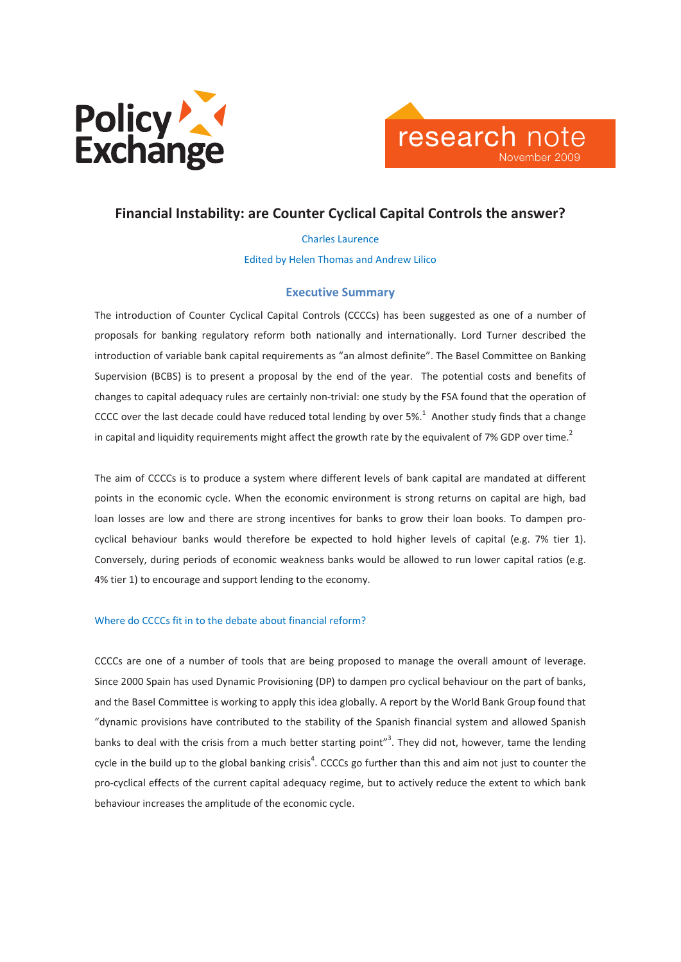



Charles Laurence Edited by Helen Thomas and Andrew Lilico

## Executive Summary

The introduction of Counter Cyclical Capital Controls (CCCCs) has been suggested as one of a number of proposals for banking regulatory reform both nationally and internationally. Lord Turner described the introduction of variable bank capital requirements as "an almost definite". The Basel Committee on Banking Supervision (BCBS) is to present a proposal by the end of the year. The potential costs and benefits of changes to capital adequacy rules are certainly non-trivial: one study by the FSA found that the operation of CCCC over the last decade could have reduced total lending by over 5%.<sup>1</sup> Another study finds that a change in capital and liquidity requirements might affect the growth rate by the equivalent of 7% GDP over time.<sup>2</sup>

The aim of CCCCs is to produce a system where different levels of bank capital are mandated at different points in the economic cycle. When the economic environment is strong returns on capital are high, bad loan losses are low and there are strong incentives for banks to grow their loan books. To dampen procyclical behaviour banks would therefore be expected to hold higher levels of capital (e.g. 7% tier 1). Conversely, during periods of economic weakness banks would be allowed to run lower capital ratios (e.g. 4% tier 1) to encourage and support lending to the economy.

### Where do CCCCs fit in to the debate about financial reform?

CCCCs are one of a number of tools that are being proposed to manage the overall amount of leverage. Since 2000 Spain has used Dynamic Provisioning (DP) to dampen pro cyclical behaviour on the part of banks, and the Basel Committee is working to apply this idea globally. A report by the World Bank Group found that "dynamic provisions have contributed to the stability of the Spanish financial system and allowed Spanish banks to deal with the crisis from a much better starting point"<sup>3</sup>. They did not, however, tame the lending cycle in the build up to the global banking crisis<sup>4</sup>. CCCCs go further than this and aim not just to counter the pro-cyclical effects of the current capital adequacy regime, but to actively reduce the extent to which bank behaviour increases the amplitude of the economic cycle.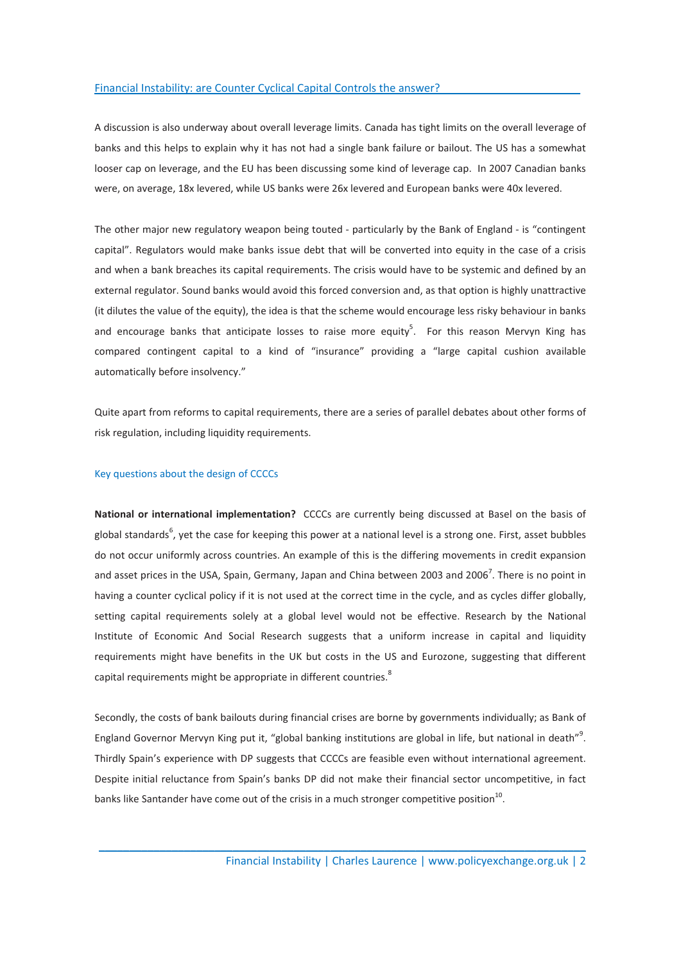A discussion is also underway about overall leverage limits. Canada has tight limits on the overall leverage of banks and this helps to explain why it has not had a single bank failure or bailout. The US has a somewhat looser cap on leverage, and the EU has been discussing some kind of leverage cap. In 2007 Canadian banks were, on average, 18x levered, while US banks were 26x levered and European banks were 40x levered.

The other major new regulatory weapon being touted - particularly by the Bank of England - is "contingent capital". Regulators would make banks issue debt that will be converted into equity in the case of a crisis and when a bank breaches its capital requirements. The crisis would have to be systemic and defined by an external regulator. Sound banks would avoid this forced conversion and, as that option is highly unattractive (it dilutes the value of the equity), the idea is that the scheme would encourage less risky behaviour in banks and encourage banks that anticipate losses to raise more equity<sup>5</sup>. For this reason Mervyn King has compared contingent capital to a kind of "insurance" providing a "large capital cushion available automatically before insolvency."

Quite apart from reforms to capital requirements, there are a series of parallel debates about other forms of risk regulation, including liquidity requirements.

### Key questions about the design of CCCCs

National or international implementation? CCCCs are currently being discussed at Basel on the basis of global standards<sup>6</sup>, yet the case for keeping this power at a national level is a strong one. First, asset bubbles do not occur uniformly across countries. An example of this is the differing movements in credit expansion and asset prices in the USA, Spain, Germany, Japan and China between 2003 and 2006<sup>7</sup>. There is no point in having a counter cyclical policy if it is not used at the correct time in the cycle, and as cycles differ globally, setting capital requirements solely at a global level would not be effective. Research by the National Institute of Economic And Social Research suggests that a uniform increase in capital and liquidity requirements might have benefits in the UK but costs in the US and Eurozone, suggesting that different capital requirements might be appropriate in different countries.<sup>8</sup>

Secondly, the costs of bank bailouts during financial crises are borne by governments individually; as Bank of England Governor Mervyn King put it, "global banking institutions are global in life, but national in death"<sup>9</sup>. Thirdly Spain's experience with DP suggests that CCCCs are feasible even without international agreement. Despite initial reluctance from Spain's banks DP did not make their financial sector uncompetitive, in fact banks like Santander have come out of the crisis in a much stronger competitive position<sup>10</sup>.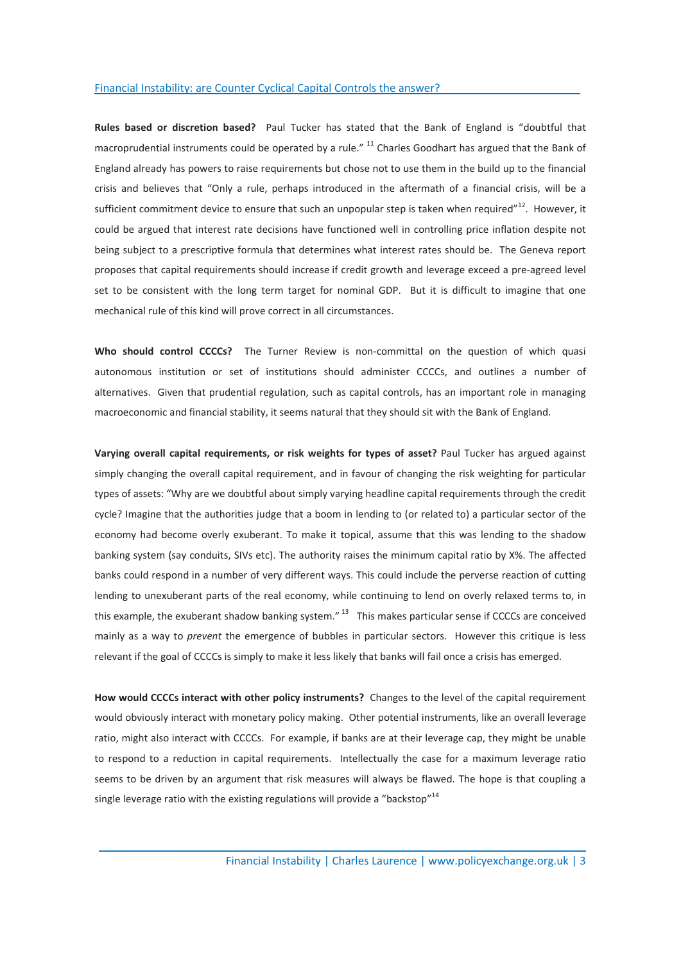Rules based or discretion based? Paul Tucker has stated that the Bank of England is "doubtful that macroprudential instruments could be operated by a rule." <sup>11</sup> Charles Goodhart has argued that the Bank of England already has powers to raise requirements but chose not to use them in the build up to the financial crisis and believes that "Only a rule, perhaps introduced in the aftermath of a financial crisis, will be a sufficient commitment device to ensure that such an unpopular step is taken when required"<sup>12</sup>. However, it could be argued that interest rate decisions have functioned well in controlling price inflation despite not being subject to a prescriptive formula that determines what interest rates should be. The Geneva report proposes that capital requirements should increase if credit growth and leverage exceed a pre-agreed level set to be consistent with the long term target for nominal GDP. But it is difficult to imagine that one mechanical rule of this kind will prove correct in all circumstances.

Who should control CCCCs? The Turner Review is non-committal on the question of which quasi autonomous institution or set of institutions should administer CCCCs, and outlines a number of alternatives. Given that prudential regulation, such as capital controls, has an important role in managing macroeconomic and financial stability, it seems natural that they should sit with the Bank of England.

Varying overall capital requirements, or risk weights for types of asset? Paul Tucker has argued against simply changing the overall capital requirement, and in favour of changing the risk weighting for particular types of assets: "Why are we doubtful about simply varying headline capital requirements through the credit cycle? Imagine that the authorities judge that a boom in lending to (or related to) a particular sector of the economy had become overly exuberant. To make it topical, assume that this was lending to the shadow banking system (say conduits, SIVs etc). The authority raises the minimum capital ratio by X%. The affected banks could respond in a number of very different ways. This could include the perverse reaction of cutting lending to unexuberant parts of the real economy, while continuing to lend on overly relaxed terms to, in this example, the exuberant shadow banking system."<sup>13</sup> This makes particular sense if CCCCs are conceived mainly as a way to *prevent* the emergence of bubbles in particular sectors. However this critique is less relevant if the goal of CCCCs is simply to make it less likely that banks will fail once a crisis has emerged.

How would CCCCs interact with other policy instruments? Changes to the level of the capital requirement would obviously interact with monetary policy making. Other potential instruments, like an overall leverage ratio, might also interact with CCCCs. For example, if banks are at their leverage cap, they might be unable to respond to a reduction in capital requirements. Intellectually the case for a maximum leverage ratio seems to be driven by an argument that risk measures will always be flawed. The hope is that coupling a single leverage ratio with the existing regulations will provide a "backstop"<sup>14</sup>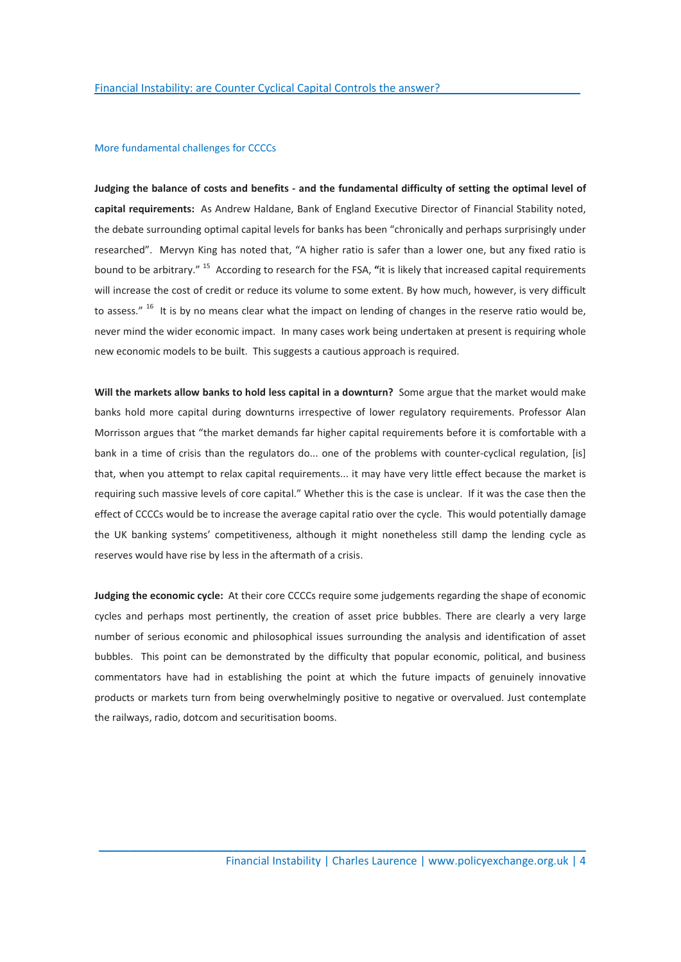### More fundamental challenges for CCCCs

Judging the balance of costs and benefits - and the fundamental difficulty of setting the optimal level of capital requirements: As Andrew Haldane, Bank of England Executive Director of Financial Stability noted, the debate surrounding optimal capital levels for banks has been "chronically and perhaps surprisingly under researched". Mervyn King has noted that, "A higher ratio is safer than a lower one, but any fixed ratio is bound to be arbitrary." <sup>15</sup> According to research for the FSA, "it is likely that increased capital requirements will increase the cost of credit or reduce its volume to some extent. By how much, however, is very difficult to assess." <sup>16</sup> It is by no means clear what the impact on lending of changes in the reserve ratio would be, never mind the wider economic impact. In many cases work being undertaken at present is requiring whole new economic models to be built. This suggests a cautious approach is required.

Will the markets allow banks to hold less capital in a downturn? Some argue that the market would make banks hold more capital during downturns irrespective of lower regulatory requirements. Professor Alan Morrisson argues that "the market demands far higher capital requirements before it is comfortable with a bank in a time of crisis than the regulators do... one of the problems with counter-cyclical regulation, [is] that, when you attempt to relax capital requirements... it may have very little effect because the market is requiring such massive levels of core capital." Whether this is the case is unclear. If it was the case then the effect of CCCCs would be to increase the average capital ratio over the cycle. This would potentially damage the UK banking systems' competitiveness, although it might nonetheless still damp the lending cycle as reserves would have rise by less in the aftermath of a crisis.

Judging the economic cycle: At their core CCCCs require some judgements regarding the shape of economic cycles and perhaps most pertinently, the creation of asset price bubbles. There are clearly a very large number of serious economic and philosophical issues surrounding the analysis and identification of asset bubbles. This point can be demonstrated by the difficulty that popular economic, political, and business commentators have had in establishing the point at which the future impacts of genuinely innovative products or markets turn from being overwhelmingly positive to negative or overvalued. Just contemplate the railways, radio, dotcom and securitisation booms.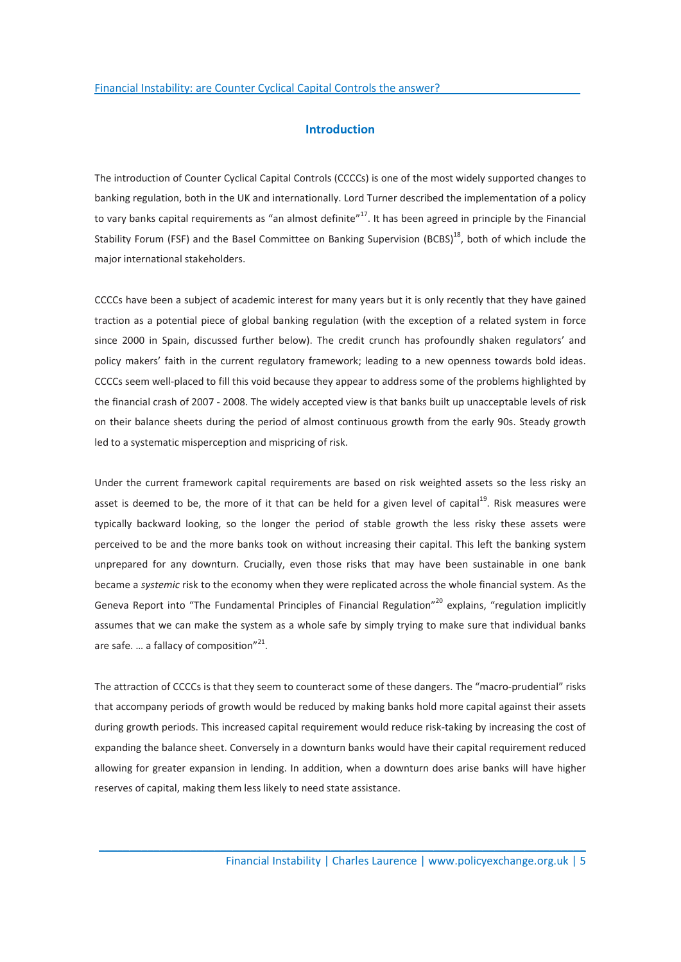## Introduction

The introduction of Counter Cyclical Capital Controls (CCCCs) is one of the most widely supported changes to banking regulation, both in the UK and internationally. Lord Turner described the implementation of a policy to vary banks capital requirements as "an almost definite"<sup>17</sup>. It has been agreed in principle by the Financial Stability Forum (FSF) and the Basel Committee on Banking Supervision (BCBS)<sup>18</sup>, both of which include the major international stakeholders.

CCCCs have been a subject of academic interest for many years but it is only recently that they have gained traction as a potential piece of global banking regulation (with the exception of a related system in force since 2000 in Spain, discussed further below). The credit crunch has profoundly shaken regulators' and policy makers' faith in the current regulatory framework; leading to a new openness towards bold ideas. CCCCs seem well-placed to fill this void because they appear to address some of the problems highlighted by the financial crash of 2007 - 2008. The widely accepted view is that banks built up unacceptable levels of risk on their balance sheets during the period of almost continuous growth from the early 90s. Steady growth led to a systematic misperception and mispricing of risk.

Under the current framework capital requirements are based on risk weighted assets so the less risky an asset is deemed to be, the more of it that can be held for a given level of capital $19$ . Risk measures were typically backward looking, so the longer the period of stable growth the less risky these assets were perceived to be and the more banks took on without increasing their capital. This left the banking system unprepared for any downturn. Crucially, even those risks that may have been sustainable in one bank became a systemic risk to the economy when they were replicated across the whole financial system. As the Geneva Report into "The Fundamental Principles of Financial Regulation"<sup>20</sup> explains, "regulation implicitly assumes that we can make the system as a whole safe by simply trying to make sure that individual banks are safe. ... a fallacy of composition" $^{21}$ .

The attraction of CCCCs is that they seem to counteract some of these dangers. The "macro-prudential" risks that accompany periods of growth would be reduced by making banks hold more capital against their assets during growth periods. This increased capital requirement would reduce risk-taking by increasing the cost of expanding the balance sheet. Conversely in a downturn banks would have their capital requirement reduced allowing for greater expansion in lending. In addition, when a downturn does arise banks will have higher reserves of capital, making them less likely to need state assistance.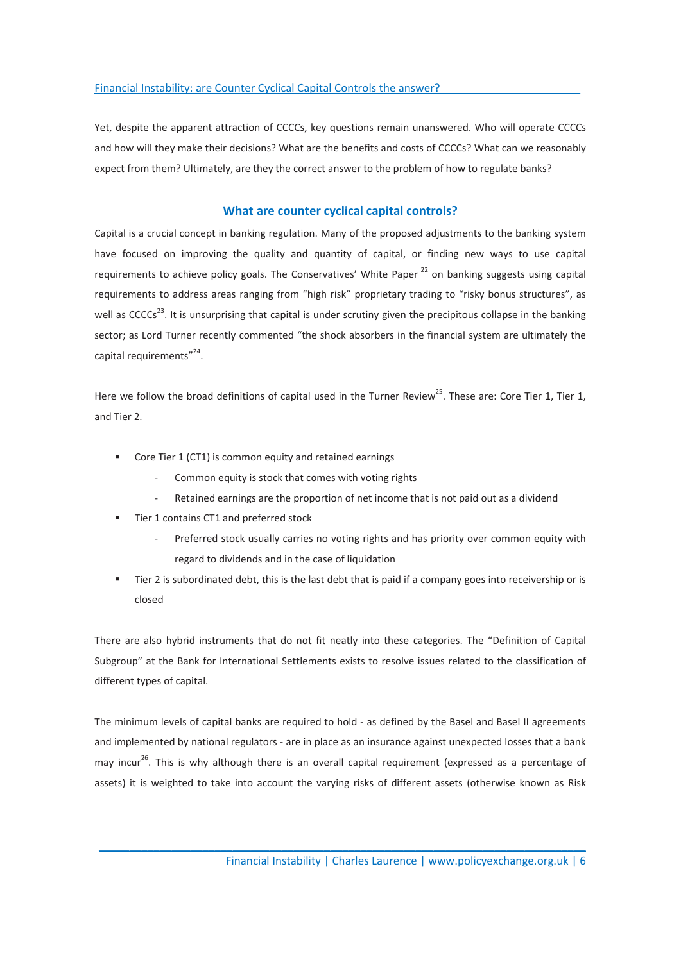Yet, despite the apparent attraction of CCCCs, key questions remain unanswered. Who will operate CCCCs and how will they make their decisions? What are the benefits and costs of CCCCs? What can we reasonably expect from them? Ultimately, are they the correct answer to the problem of how to regulate banks?

## What are counter cyclical capital controls?

Capital is a crucial concept in banking regulation. Many of the proposed adjustments to the banking system have focused on improving the quality and quantity of capital, or finding new ways to use capital requirements to achieve policy goals. The Conservatives' White Paper $^{22}$  on banking suggests using capital requirements to address areas ranging from "high risk" proprietary trading to "risky bonus structures", as well as CCCCs<sup>23</sup>. It is unsurprising that capital is under scrutiny given the precipitous collapse in the banking sector; as Lord Turner recently commented "the shock absorbers in the financial system are ultimately the capital requirements"<sup>24</sup>.

Here we follow the broad definitions of capital used in the Turner Review<sup>25</sup>. These are: Core Tier 1, Tier 1, and Tier 2.

- **•** Core Tier 1 (CT1) is common equity and retained earnings
	- Common equity is stock that comes with voting rights
	- Retained earnings are the proportion of net income that is not paid out as a dividend
- Tier 1 contains CT1 and preferred stock
	- Preferred stock usually carries no voting rights and has priority over common equity with regard to dividends and in the case of liquidation
- Tier 2 is subordinated debt, this is the last debt that is paid if a company goes into receivership or is closed

There are also hybrid instruments that do not fit neatly into these categories. The "Definition of Capital Subgroup" at the Bank for International Settlements exists to resolve issues related to the classification of different types of capital.

The minimum levels of capital banks are required to hold - as defined by the Basel and Basel II agreements and implemented by national regulators - are in place as an insurance against unexpected losses that a bank may incur<sup>26</sup>. This is why although there is an overall capital requirement (expressed as a percentage of assets) it is weighted to take into account the varying risks of different assets (otherwise known as Risk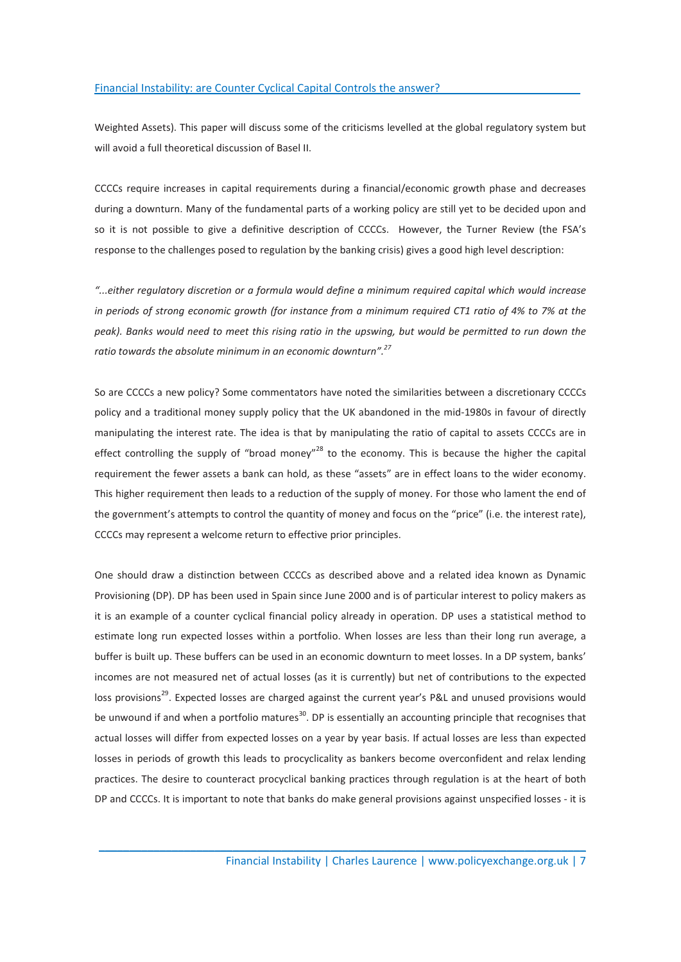Weighted Assets). This paper will discuss some of the criticisms levelled at the global regulatory system but will avoid a full theoretical discussion of Basel II.

CCCCs require increases in capital requirements during a financial/economic growth phase and decreases during a downturn. Many of the fundamental parts of a working policy are still yet to be decided upon and so it is not possible to give a definitive description of CCCCs. However, the Turner Review (the FSA's response to the challenges posed to regulation by the banking crisis) gives a good high level description:

"...either regulatory discretion or a formula would define a minimum required capital which would increase in periods of strong economic growth (for instance from a minimum required CT1 ratio of 4% to 7% at the peak). Banks would need to meet this rising ratio in the upswing, but would be permitted to run down the ratio towards the absolute minimum in an economic downturn".<sup>27</sup>

So are CCCCs a new policy? Some commentators have noted the similarities between a discretionary CCCCs policy and a traditional money supply policy that the UK abandoned in the mid-1980s in favour of directly manipulating the interest rate. The idea is that by manipulating the ratio of capital to assets CCCCs are in effect controlling the supply of "broad money"<sup>28</sup> to the economy. This is because the higher the capital requirement the fewer assets a bank can hold, as these "assets" are in effect loans to the wider economy. This higher requirement then leads to a reduction of the supply of money. For those who lament the end of the government's attempts to control the quantity of money and focus on the "price" (i.e. the interest rate), CCCCs may represent a welcome return to effective prior principles.

One should draw a distinction between CCCCs as described above and a related idea known as Dynamic Provisioning (DP). DP has been used in Spain since June 2000 and is of particular interest to policy makers as it is an example of a counter cyclical financial policy already in operation. DP uses a statistical method to estimate long run expected losses within a portfolio. When losses are less than their long run average, a buffer is built up. These buffers can be used in an economic downturn to meet losses. In a DP system, banks' incomes are not measured net of actual losses (as it is currently) but net of contributions to the expected loss provisions<sup>29</sup>. Expected losses are charged against the current year's P&L and unused provisions would be unwound if and when a portfolio matures<sup>30</sup>. DP is essentially an accounting principle that recognises that actual losses will differ from expected losses on a year by year basis. If actual losses are less than expected losses in periods of growth this leads to procyclicality as bankers become overconfident and relax lending practices. The desire to counteract procyclical banking practices through regulation is at the heart of both DP and CCCCs. It is important to note that banks do make general provisions against unspecified losses - it is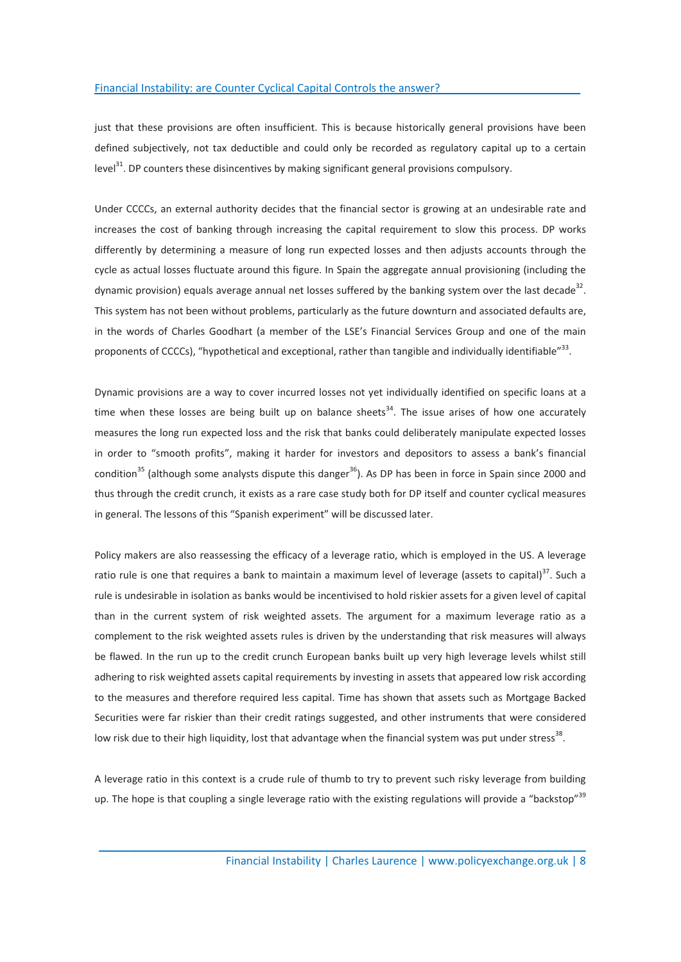just that these provisions are often insufficient. This is because historically general provisions have been defined subjectively, not tax deductible and could only be recorded as regulatory capital up to a certain level $31$ . DP counters these disincentives by making significant general provisions compulsory.

Under CCCCs, an external authority decides that the financial sector is growing at an undesirable rate and increases the cost of banking through increasing the capital requirement to slow this process. DP works differently by determining a measure of long run expected losses and then adjusts accounts through the cycle as actual losses fluctuate around this figure. In Spain the aggregate annual provisioning (including the dynamic provision) equals average annual net losses suffered by the banking system over the last decade<sup>32</sup>. This system has not been without problems, particularly as the future downturn and associated defaults are, in the words of Charles Goodhart (a member of the LSE's Financial Services Group and one of the main proponents of CCCCs), "hypothetical and exceptional, rather than tangible and individually identifiable"<sup>33</sup>.

Dynamic provisions are a way to cover incurred losses not yet individually identified on specific loans at a time when these losses are being built up on balance sheets $34$ . The issue arises of how one accurately measures the long run expected loss and the risk that banks could deliberately manipulate expected losses in order to "smooth profits", making it harder for investors and depositors to assess a bank's financial condition<sup>35</sup> (although some analysts dispute this danger<sup>36</sup>). As DP has been in force in Spain since 2000 and thus through the credit crunch, it exists as a rare case study both for DP itself and counter cyclical measures in general. The lessons of this "Spanish experiment" will be discussed later.

Policy makers are also reassessing the efficacy of a leverage ratio, which is employed in the US. A leverage ratio rule is one that requires a bank to maintain a maximum level of leverage (assets to capital) $37$ . Such a rule is undesirable in isolation as banks would be incentivised to hold riskier assets for a given level of capital than in the current system of risk weighted assets. The argument for a maximum leverage ratio as a complement to the risk weighted assets rules is driven by the understanding that risk measures will always be flawed. In the run up to the credit crunch European banks built up very high leverage levels whilst still adhering to risk weighted assets capital requirements by investing in assets that appeared low risk according to the measures and therefore required less capital. Time has shown that assets such as Mortgage Backed Securities were far riskier than their credit ratings suggested, and other instruments that were considered low risk due to their high liquidity, lost that advantage when the financial system was put under stress<sup>38</sup>.

A leverage ratio in this context is a crude rule of thumb to try to prevent such risky leverage from building up. The hope is that coupling a single leverage ratio with the existing regulations will provide a "backstop"<sup>39</sup>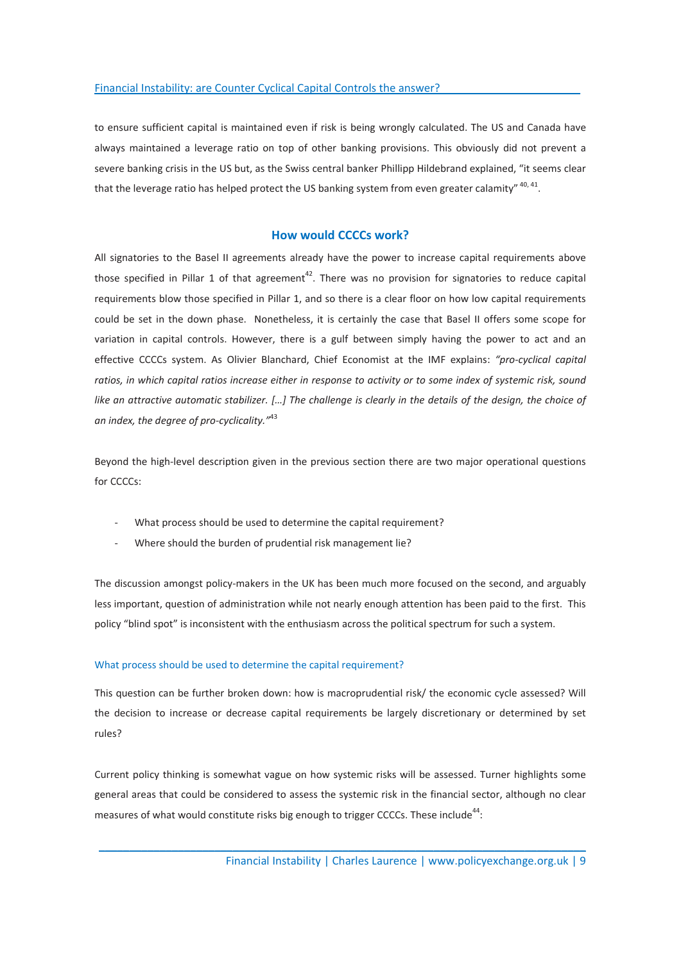to ensure sufficient capital is maintained even if risk is being wrongly calculated. The US and Canada have always maintained a leverage ratio on top of other banking provisions. This obviously did not prevent a severe banking crisis in the US but, as the Swiss central banker Phillipp Hildebrand explained, "it seems clear that the leverage ratio has helped protect the US banking system from even greater calamity" <sup>40, 41</sup>.

## How would CCCCs work?

All signatories to the Basel II agreements already have the power to increase capital requirements above those specified in Pillar 1 of that agreement<sup>42</sup>. There was no provision for signatories to reduce capital requirements blow those specified in Pillar 1, and so there is a clear floor on how low capital requirements could be set in the down phase. Nonetheless, it is certainly the case that Basel II offers some scope for variation in capital controls. However, there is a gulf between simply having the power to act and an effective CCCCs system. As Olivier Blanchard, Chief Economist at the IMF explains: "pro-cyclical capital ratios, in which capital ratios increase either in response to activity or to some index of systemic risk, sound like an attractive automatic stabilizer. […] The challenge is clearly in the details of the design, the choice of an index, the degree of pro-cyclicality."<sup>43</sup>

Beyond the high-level description given in the previous section there are two major operational questions for CCCCs:

- What process should be used to determine the capital requirement?
- Where should the burden of prudential risk management lie?

The discussion amongst policy-makers in the UK has been much more focused on the second, and arguably less important, question of administration while not nearly enough attention has been paid to the first. This policy "blind spot" is inconsistent with the enthusiasm across the political spectrum for such a system.

### What process should be used to determine the capital requirement?

This question can be further broken down: how is macroprudential risk/ the economic cycle assessed? Will the decision to increase or decrease capital requirements be largely discretionary or determined by set rules?

Current policy thinking is somewhat vague on how systemic risks will be assessed. Turner highlights some general areas that could be considered to assess the systemic risk in the financial sector, although no clear measures of what would constitute risks big enough to trigger CCCCs. These include<sup>44</sup>: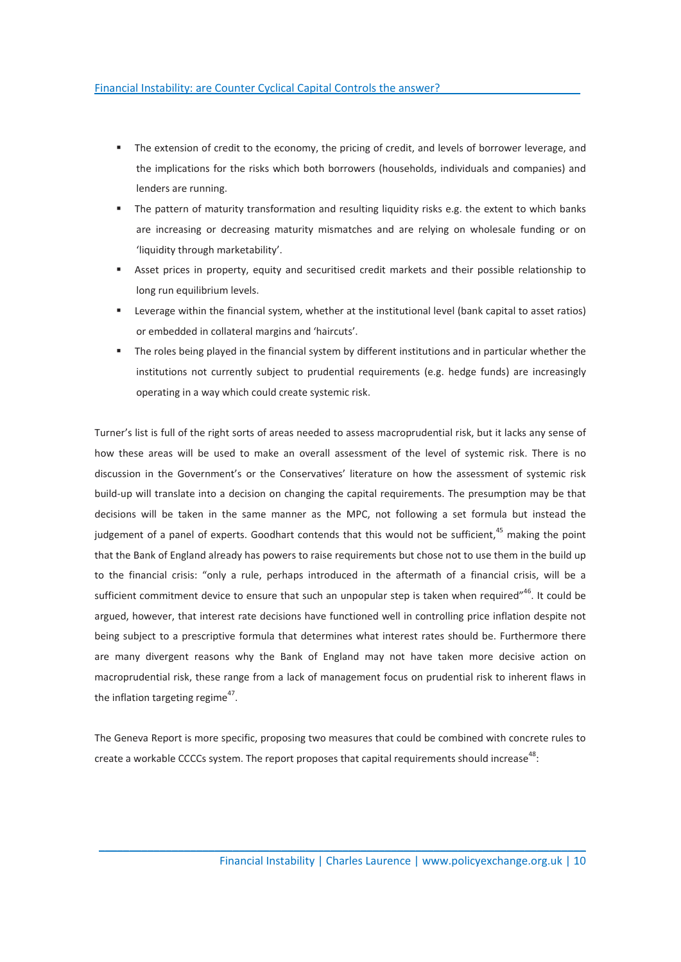- The extension of credit to the economy, the pricing of credit, and levels of borrower leverage, and the implications for the risks which both borrowers (households, individuals and companies) and lenders are running.
- The pattern of maturity transformation and resulting liquidity risks e.g. the extent to which banks are increasing or decreasing maturity mismatches and are relying on wholesale funding or on 'liquidity through marketability'.
- Asset prices in property, equity and securitised credit markets and their possible relationship to long run equilibrium levels.
- Leverage within the financial system, whether at the institutional level (bank capital to asset ratios) or embedded in collateral margins and 'haircuts'.
- The roles being played in the financial system by different institutions and in particular whether the institutions not currently subject to prudential requirements (e.g. hedge funds) are increasingly operating in a way which could create systemic risk.

Turner's list is full of the right sorts of areas needed to assess macroprudential risk, but it lacks any sense of how these areas will be used to make an overall assessment of the level of systemic risk. There is no discussion in the Government's or the Conservatives' literature on how the assessment of systemic risk build-up will translate into a decision on changing the capital requirements. The presumption may be that decisions will be taken in the same manner as the MPC, not following a set formula but instead the judgement of a panel of experts. Goodhart contends that this would not be sufficient,<sup>45</sup> making the point that the Bank of England already has powers to raise requirements but chose not to use them in the build up to the financial crisis: "only a rule, perhaps introduced in the aftermath of a financial crisis, will be a sufficient commitment device to ensure that such an unpopular step is taken when required"<sup>46</sup>. It could be argued, however, that interest rate decisions have functioned well in controlling price inflation despite not being subject to a prescriptive formula that determines what interest rates should be. Furthermore there are many divergent reasons why the Bank of England may not have taken more decisive action on macroprudential risk, these range from a lack of management focus on prudential risk to inherent flaws in the inflation targeting regime<sup>47</sup>.

The Geneva Report is more specific, proposing two measures that could be combined with concrete rules to create a workable CCCCs system. The report proposes that capital requirements should increase<sup>48</sup>: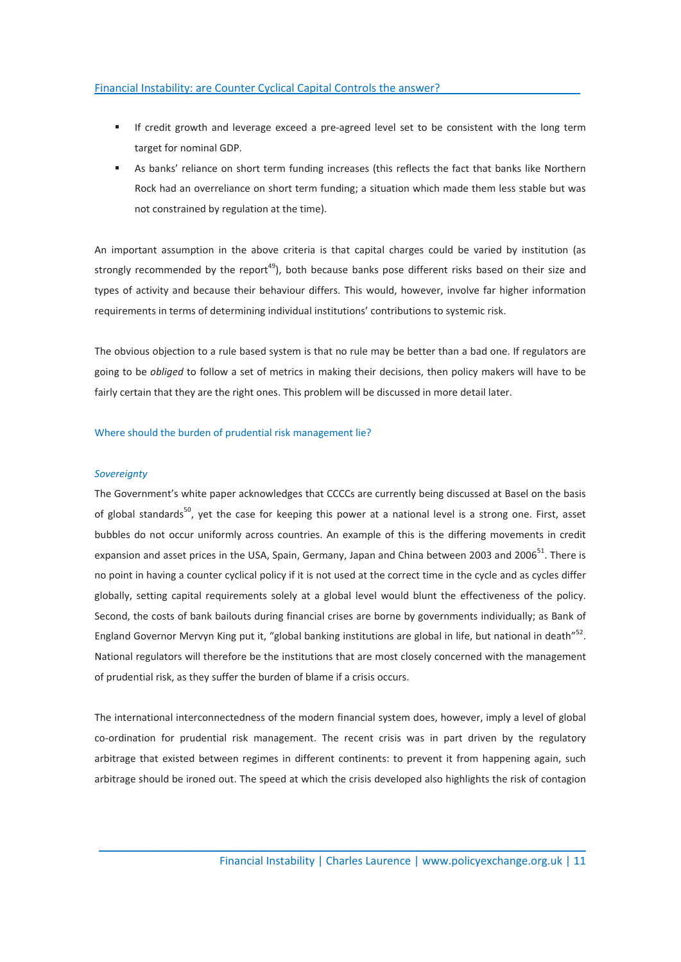- If credit growth and leverage exceed a pre-agreed level set to be consistent with the long term target for nominal GDP.
- As banks' reliance on short term funding increases (this reflects the fact that banks like Northern Rock had an overreliance on short term funding; a situation which made them less stable but was not constrained by regulation at the time).

An important assumption in the above criteria is that capital charges could be varied by institution (as strongly recommended by the report<sup>49</sup>), both because banks pose different risks based on their size and types of activity and because their behaviour differs. This would, however, involve far higher information requirements in terms of determining individual institutions' contributions to systemic risk.

The obvious objection to a rule based system is that no rule may be better than a bad one. If regulators are going to be *obliged* to follow a set of metrics in making their decisions, then policy makers will have to be fairly certain that they are the right ones. This problem will be discussed in more detail later.

## Where should the burden of prudential risk management lie?

#### **Sovereignty**

The Government's white paper acknowledges that CCCCs are currently being discussed at Basel on the basis of global standards<sup>50</sup>, yet the case for keeping this power at a national level is a strong one. First, asset bubbles do not occur uniformly across countries. An example of this is the differing movements in credit expansion and asset prices in the USA, Spain, Germany, Japan and China between 2003 and 2006<sup>51</sup>. There is no point in having a counter cyclical policy if it is not used at the correct time in the cycle and as cycles differ globally, setting capital requirements solely at a global level would blunt the effectiveness of the policy. Second, the costs of bank bailouts during financial crises are borne by governments individually; as Bank of England Governor Mervyn King put it, "global banking institutions are global in life, but national in death"<sup>52</sup>. National regulators will therefore be the institutions that are most closely concerned with the management of prudential risk, as they suffer the burden of blame if a crisis occurs.

The international interconnectedness of the modern financial system does, however, imply a level of global co-ordination for prudential risk management. The recent crisis was in part driven by the regulatory arbitrage that existed between regimes in different continents: to prevent it from happening again, such arbitrage should be ironed out. The speed at which the crisis developed also highlights the risk of contagion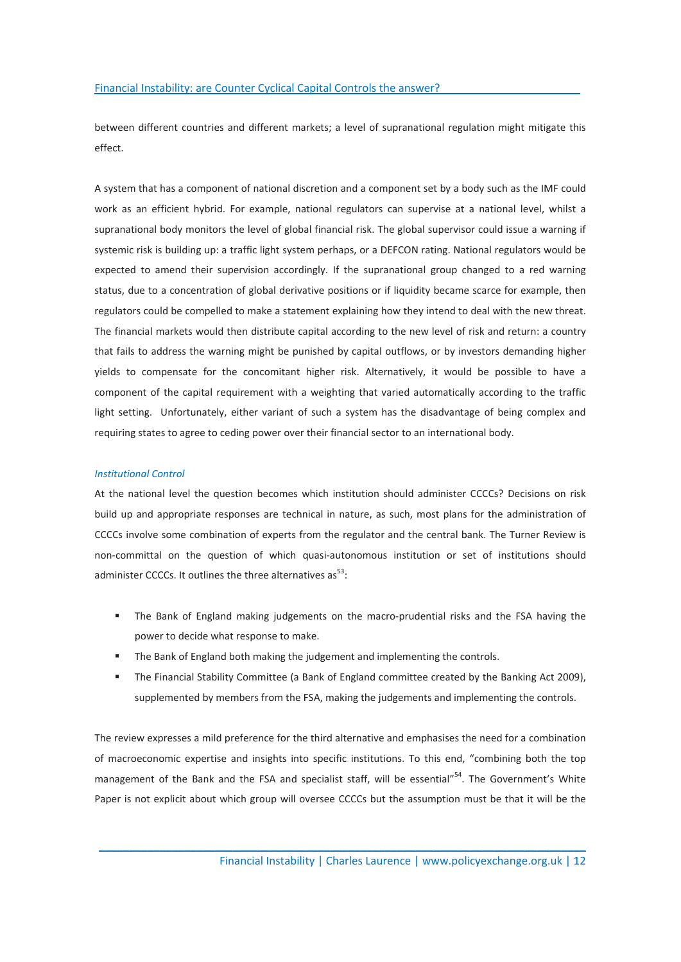between different countries and different markets; a level of supranational regulation might mitigate this effect.

A system that has a component of national discretion and a component set by a body such as the IMF could work as an efficient hybrid. For example, national regulators can supervise at a national level, whilst a supranational body monitors the level of global financial risk. The global supervisor could issue a warning if systemic risk is building up: a traffic light system perhaps, or a DEFCON rating. National regulators would be expected to amend their supervision accordingly. If the supranational group changed to a red warning status, due to a concentration of global derivative positions or if liquidity became scarce for example, then regulators could be compelled to make a statement explaining how they intend to deal with the new threat. The financial markets would then distribute capital according to the new level of risk and return: a country that fails to address the warning might be punished by capital outflows, or by investors demanding higher yields to compensate for the concomitant higher risk. Alternatively, it would be possible to have a component of the capital requirement with a weighting that varied automatically according to the traffic light setting. Unfortunately, either variant of such a system has the disadvantage of being complex and requiring states to agree to ceding power over their financial sector to an international body.

#### Institutional Control

At the national level the question becomes which institution should administer CCCCs? Decisions on risk build up and appropriate responses are technical in nature, as such, most plans for the administration of CCCCs involve some combination of experts from the regulator and the central bank. The Turner Review is non-committal on the question of which quasi-autonomous institution or set of institutions should administer CCCCs. It outlines the three alternatives  $as^{53}$ :

- The Bank of England making judgements on the macro-prudential risks and the FSA having the power to decide what response to make.
- The Bank of England both making the judgement and implementing the controls.
- The Financial Stability Committee (a Bank of England committee created by the Banking Act 2009), supplemented by members from the FSA, making the judgements and implementing the controls.

The review expresses a mild preference for the third alternative and emphasises the need for a combination of macroeconomic expertise and insights into specific institutions. To this end, "combining both the top management of the Bank and the FSA and specialist staff, will be essential"<sup>54</sup>. The Government's White Paper is not explicit about which group will oversee CCCCs but the assumption must be that it will be the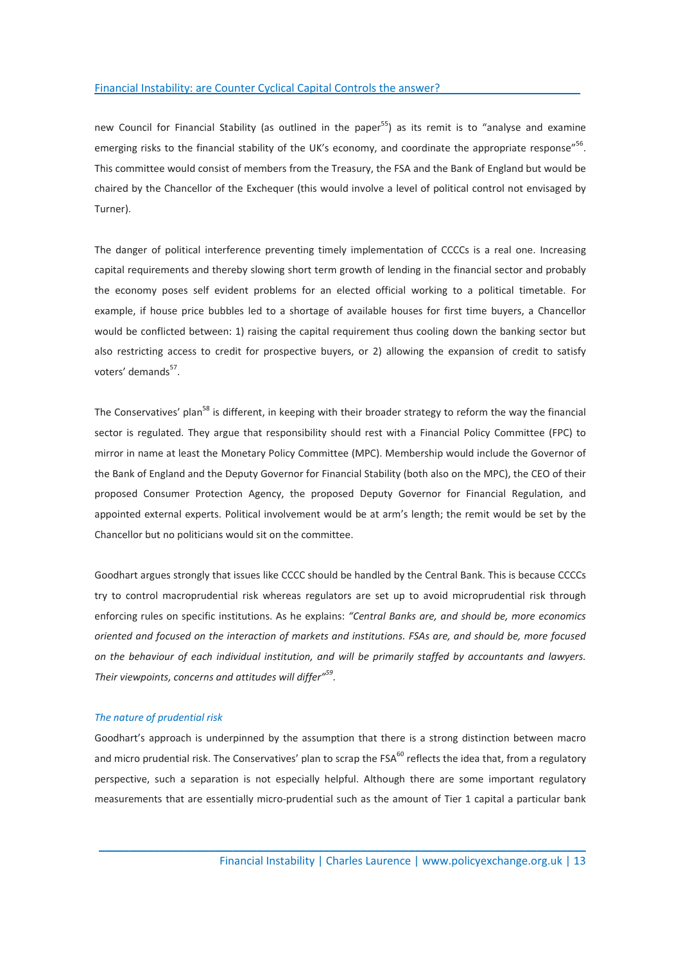new Council for Financial Stability (as outlined in the paper<sup>55</sup>) as its remit is to "analyse and examine emerging risks to the financial stability of the UK's economy, and coordinate the appropriate response"<sup>56</sup>. This committee would consist of members from the Treasury, the FSA and the Bank of England but would be chaired by the Chancellor of the Exchequer (this would involve a level of political control not envisaged by Turner).

The danger of political interference preventing timely implementation of CCCCs is a real one. Increasing capital requirements and thereby slowing short term growth of lending in the financial sector and probably the economy poses self evident problems for an elected official working to a political timetable. For example, if house price bubbles led to a shortage of available houses for first time buyers, a Chancellor would be conflicted between: 1) raising the capital requirement thus cooling down the banking sector but also restricting access to credit for prospective buyers, or 2) allowing the expansion of credit to satisfy voters' demands<sup>57</sup>.

The Conservatives' plan<sup>58</sup> is different, in keeping with their broader strategy to reform the way the financial sector is regulated. They argue that responsibility should rest with a Financial Policy Committee (FPC) to mirror in name at least the Monetary Policy Committee (MPC). Membership would include the Governor of the Bank of England and the Deputy Governor for Financial Stability (both also on the MPC), the CEO of their proposed Consumer Protection Agency, the proposed Deputy Governor for Financial Regulation, and appointed external experts. Political involvement would be at arm's length; the remit would be set by the Chancellor but no politicians would sit on the committee.

Goodhart argues strongly that issues like CCCC should be handled by the Central Bank. This is because CCCCs try to control macroprudential risk whereas regulators are set up to avoid microprudential risk through enforcing rules on specific institutions. As he explains: "Central Banks are, and should be, more economics oriented and focused on the interaction of markets and institutions. FSAs are, and should be, more focused on the behaviour of each individual institution, and will be primarily staffed by accountants and lawyers. Their viewpoints, concerns and attitudes will differ"<sup>59</sup>.

### The nature of prudential risk

Goodhart's approach is underpinned by the assumption that there is a strong distinction between macro and micro prudential risk. The Conservatives' plan to scrap the FSA<sup>60</sup> reflects the idea that, from a regulatory perspective, such a separation is not especially helpful. Although there are some important regulatory measurements that are essentially micro-prudential such as the amount of Tier 1 capital a particular bank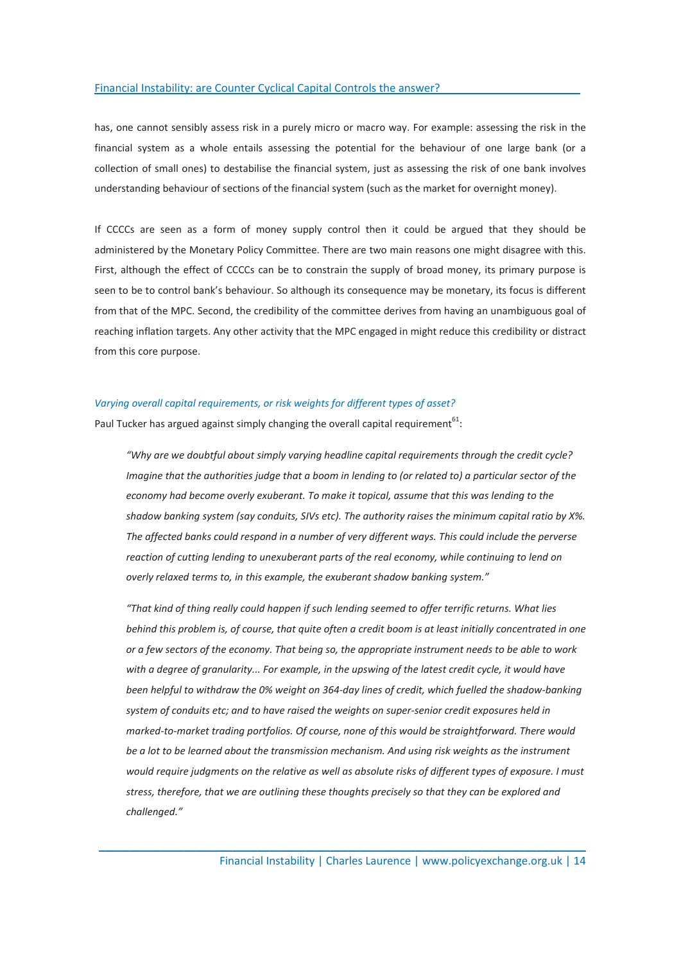has, one cannot sensibly assess risk in a purely micro or macro way. For example: assessing the risk in the financial system as a whole entails assessing the potential for the behaviour of one large bank (or a collection of small ones) to destabilise the financial system, just as assessing the risk of one bank involves understanding behaviour of sections of the financial system (such as the market for overnight money).

If CCCCs are seen as a form of money supply control then it could be argued that they should be administered by the Monetary Policy Committee. There are two main reasons one might disagree with this. First, although the effect of CCCCs can be to constrain the supply of broad money, its primary purpose is seen to be to control bank's behaviour. So although its consequence may be monetary, its focus is different from that of the MPC. Second, the credibility of the committee derives from having an unambiguous goal of reaching inflation targets. Any other activity that the MPC engaged in might reduce this credibility or distract from this core purpose.

#### Varying overall capital requirements, or risk weights for different types of asset?

Paul Tucker has argued against simply changing the overall capital requirement<sup>61</sup>:

"Why are we doubtful about simply varying headline capital requirements through the credit cycle? Imagine that the authorities judge that a boom in lending to (or related to) a particular sector of the economy had become overly exuberant. To make it topical, assume that this was lending to the shadow banking system (say conduits, SIVs etc). The authority raises the minimum capital ratio by X%. The affected banks could respond in a number of very different ways. This could include the perverse reaction of cutting lending to unexuberant parts of the real economy, while continuing to lend on overly relaxed terms to, in this example, the exuberant shadow banking system."

"That kind of thing really could happen if such lending seemed to offer terrific returns. What lies behind this problem is, of course, that quite often a credit boom is at least initially concentrated in one or a few sectors of the economy. That being so, the appropriate instrument needs to be able to work with a degree of granularity... For example, in the upswing of the latest credit cycle, it would have been helpful to withdraw the 0% weight on 364-day lines of credit, which fuelled the shadow-banking system of conduits etc; and to have raised the weights on super-senior credit exposures held in marked-to-market trading portfolios. Of course, none of this would be straightforward. There would be a lot to be learned about the transmission mechanism. And using risk weights as the instrument would require judgments on the relative as well as absolute risks of different types of exposure. I must stress, therefore, that we are outlining these thoughts precisely so that they can be explored and challenged."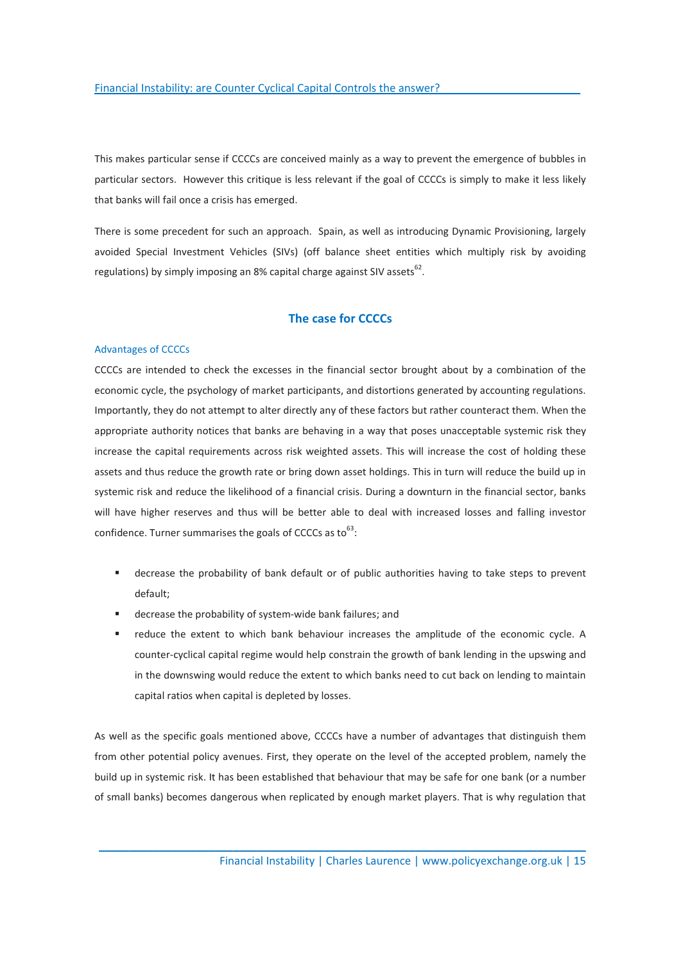This makes particular sense if CCCCs are conceived mainly as a way to prevent the emergence of bubbles in particular sectors. However this critique is less relevant if the goal of CCCCs is simply to make it less likely that banks will fail once a crisis has emerged.

There is some precedent for such an approach. Spain, as well as introducing Dynamic Provisioning, largely avoided Special Investment Vehicles (SIVs) (off balance sheet entities which multiply risk by avoiding regulations) by simply imposing an 8% capital charge against SIV assets $^{62}$ .

# The case for CCCCs

#### Advantages of CCCCs

CCCCs are intended to check the excesses in the financial sector brought about by a combination of the economic cycle, the psychology of market participants, and distortions generated by accounting regulations. Importantly, they do not attempt to alter directly any of these factors but rather counteract them. When the appropriate authority notices that banks are behaving in a way that poses unacceptable systemic risk they increase the capital requirements across risk weighted assets. This will increase the cost of holding these assets and thus reduce the growth rate or bring down asset holdings. This in turn will reduce the build up in systemic risk and reduce the likelihood of a financial crisis. During a downturn in the financial sector, banks will have higher reserves and thus will be better able to deal with increased losses and falling investor confidence. Turner summarises the goals of CCCCs as to  $63$ :

- decrease the probability of bank default or of public authorities having to take steps to prevent default;
- decrease the probability of system-wide bank failures; and
- reduce the extent to which bank behaviour increases the amplitude of the economic cycle. A counter-cyclical capital regime would help constrain the growth of bank lending in the upswing and in the downswing would reduce the extent to which banks need to cut back on lending to maintain capital ratios when capital is depleted by losses.

As well as the specific goals mentioned above, CCCCs have a number of advantages that distinguish them from other potential policy avenues. First, they operate on the level of the accepted problem, namely the build up in systemic risk. It has been established that behaviour that may be safe for one bank (or a number of small banks) becomes dangerous when replicated by enough market players. That is why regulation that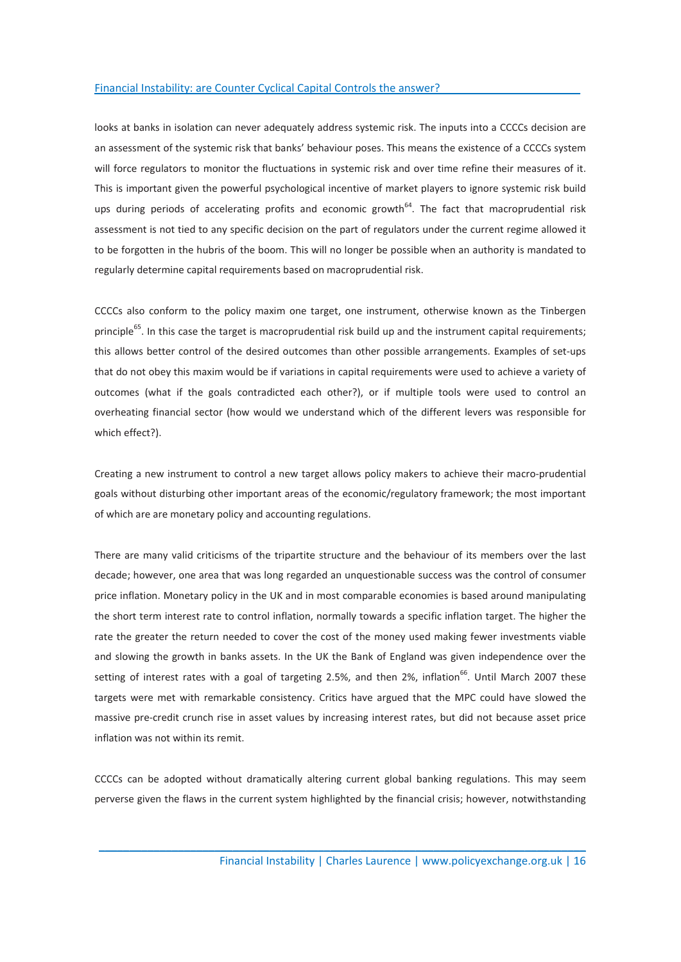looks at banks in isolation can never adequately address systemic risk. The inputs into a CCCCs decision are an assessment of the systemic risk that banks' behaviour poses. This means the existence of a CCCCs system will force regulators to monitor the fluctuations in systemic risk and over time refine their measures of it. This is important given the powerful psychological incentive of market players to ignore systemic risk build ups during periods of accelerating profits and economic growth<sup>64</sup>. The fact that macroprudential risk assessment is not tied to any specific decision on the part of regulators under the current regime allowed it to be forgotten in the hubris of the boom. This will no longer be possible when an authority is mandated to regularly determine capital requirements based on macroprudential risk.

CCCCs also conform to the policy maxim one target, one instrument, otherwise known as the Tinbergen principle<sup>65</sup>. In this case the target is macroprudential risk build up and the instrument capital requirements; this allows better control of the desired outcomes than other possible arrangements. Examples of set-ups that do not obey this maxim would be if variations in capital requirements were used to achieve a variety of outcomes (what if the goals contradicted each other?), or if multiple tools were used to control an overheating financial sector (how would we understand which of the different levers was responsible for which effect?).

Creating a new instrument to control a new target allows policy makers to achieve their macro-prudential goals without disturbing other important areas of the economic/regulatory framework; the most important of which are are monetary policy and accounting regulations.

There are many valid criticisms of the tripartite structure and the behaviour of its members over the last decade; however, one area that was long regarded an unquestionable success was the control of consumer price inflation. Monetary policy in the UK and in most comparable economies is based around manipulating the short term interest rate to control inflation, normally towards a specific inflation target. The higher the rate the greater the return needed to cover the cost of the money used making fewer investments viable and slowing the growth in banks assets. In the UK the Bank of England was given independence over the setting of interest rates with a goal of targeting 2.5%, and then 2%, inflation<sup>66</sup>. Until March 2007 these targets were met with remarkable consistency. Critics have argued that the MPC could have slowed the massive pre-credit crunch rise in asset values by increasing interest rates, but did not because asset price inflation was not within its remit.

CCCCs can be adopted without dramatically altering current global banking regulations. This may seem perverse given the flaws in the current system highlighted by the financial crisis; however, notwithstanding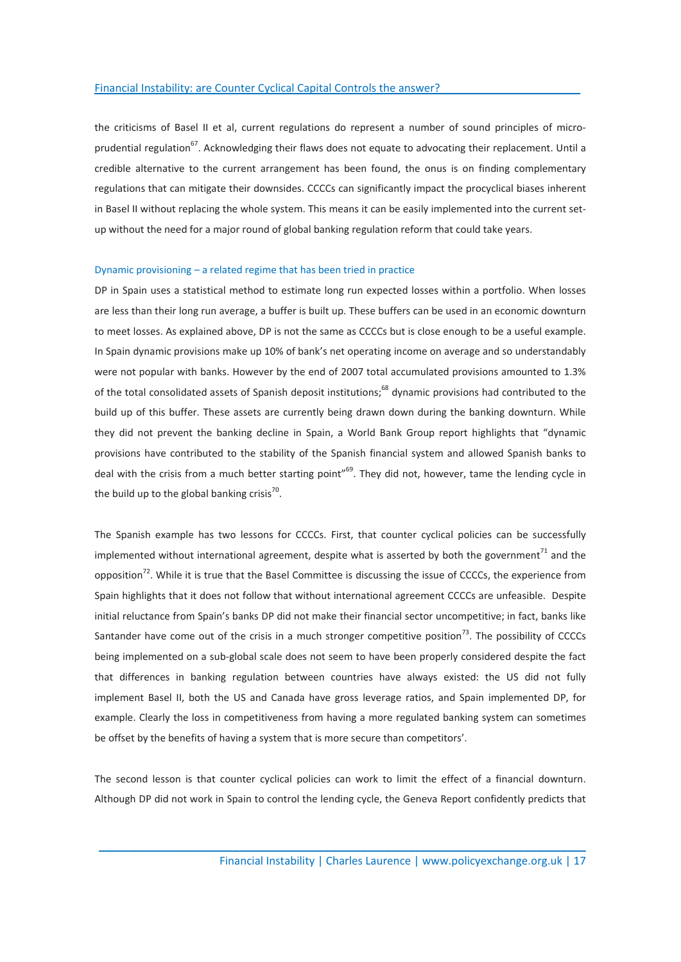the criticisms of Basel II et al, current regulations do represent a number of sound principles of microprudential regulation<sup>67</sup>. Acknowledging their flaws does not equate to advocating their replacement. Until a credible alternative to the current arrangement has been found, the onus is on finding complementary regulations that can mitigate their downsides. CCCCs can significantly impact the procyclical biases inherent in Basel II without replacing the whole system. This means it can be easily implemented into the current setup without the need for a major round of global banking regulation reform that could take years.

### Dynamic provisioning – a related regime that has been tried in practice

DP in Spain uses a statistical method to estimate long run expected losses within a portfolio. When losses are less than their long run average, a buffer is built up. These buffers can be used in an economic downturn to meet losses. As explained above, DP is not the same as CCCCs but is close enough to be a useful example. In Spain dynamic provisions make up 10% of bank's net operating income on average and so understandably were not popular with banks. However by the end of 2007 total accumulated provisions amounted to 1.3% of the total consolidated assets of Spanish deposit institutions;<sup>68</sup> dynamic provisions had contributed to the build up of this buffer. These assets are currently being drawn down during the banking downturn. While they did not prevent the banking decline in Spain, a World Bank Group report highlights that "dynamic provisions have contributed to the stability of the Spanish financial system and allowed Spanish banks to deal with the crisis from a much better starting point"<sup>69</sup>. They did not, however, tame the lending cycle in the build up to the global banking crisis<sup>70</sup>.

The Spanish example has two lessons for CCCCs. First, that counter cyclical policies can be successfully implemented without international agreement, despite what is asserted by both the government<sup>71</sup> and the opposition<sup>72</sup>. While it is true that the Basel Committee is discussing the issue of CCCCs, the experience from Spain highlights that it does not follow that without international agreement CCCCs are unfeasible. Despite initial reluctance from Spain's banks DP did not make their financial sector uncompetitive; in fact, banks like Santander have come out of the crisis in a much stronger competitive position<sup>73</sup>. The possibility of CCCCs being implemented on a sub-global scale does not seem to have been properly considered despite the fact that differences in banking regulation between countries have always existed: the US did not fully implement Basel II, both the US and Canada have gross leverage ratios, and Spain implemented DP, for example. Clearly the loss in competitiveness from having a more regulated banking system can sometimes be offset by the benefits of having a system that is more secure than competitors'.

The second lesson is that counter cyclical policies can work to limit the effect of a financial downturn. Although DP did not work in Spain to control the lending cycle, the Geneva Report confidently predicts that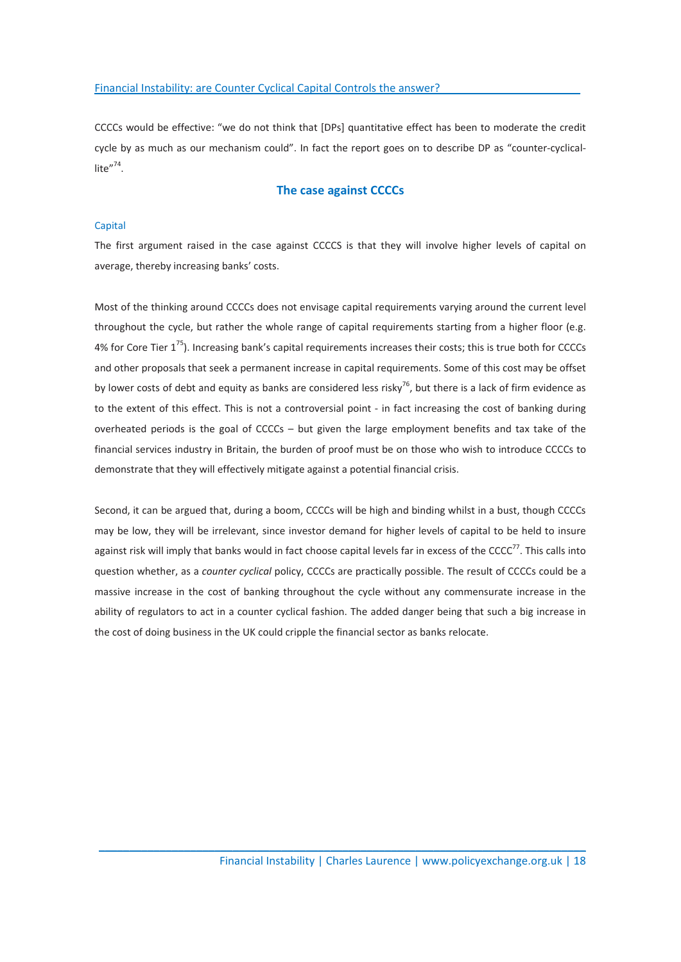CCCCs would be effective: "we do not think that [DPs] quantitative effect has been to moderate the credit cycle by as much as our mechanism could". In fact the report goes on to describe DP as "counter-cyclicallite $^{\prime\prime}$ <sup>74</sup>.

## The case against CCCCs

### **Capital**

The first argument raised in the case against CCCCS is that they will involve higher levels of capital on average, thereby increasing banks' costs.

Most of the thinking around CCCCs does not envisage capital requirements varying around the current level throughout the cycle, but rather the whole range of capital requirements starting from a higher floor (e.g. 4% for Core Tier  $1^{75}$ ). Increasing bank's capital requirements increases their costs; this is true both for CCCCs and other proposals that seek a permanent increase in capital requirements. Some of this cost may be offset by lower costs of debt and equity as banks are considered less risky<sup>76</sup>, but there is a lack of firm evidence as to the extent of this effect. This is not a controversial point - in fact increasing the cost of banking during overheated periods is the goal of CCCCs – but given the large employment benefits and tax take of the financial services industry in Britain, the burden of proof must be on those who wish to introduce CCCCs to demonstrate that they will effectively mitigate against a potential financial crisis.

Second, it can be argued that, during a boom, CCCCs will be high and binding whilst in a bust, though CCCCs may be low, they will be irrelevant, since investor demand for higher levels of capital to be held to insure against risk will imply that banks would in fact choose capital levels far in excess of the CCCC $^{77}$ . This calls into question whether, as a counter cyclical policy, CCCCs are practically possible. The result of CCCCs could be a massive increase in the cost of banking throughout the cycle without any commensurate increase in the ability of regulators to act in a counter cyclical fashion. The added danger being that such a big increase in the cost of doing business in the UK could cripple the financial sector as banks relocate.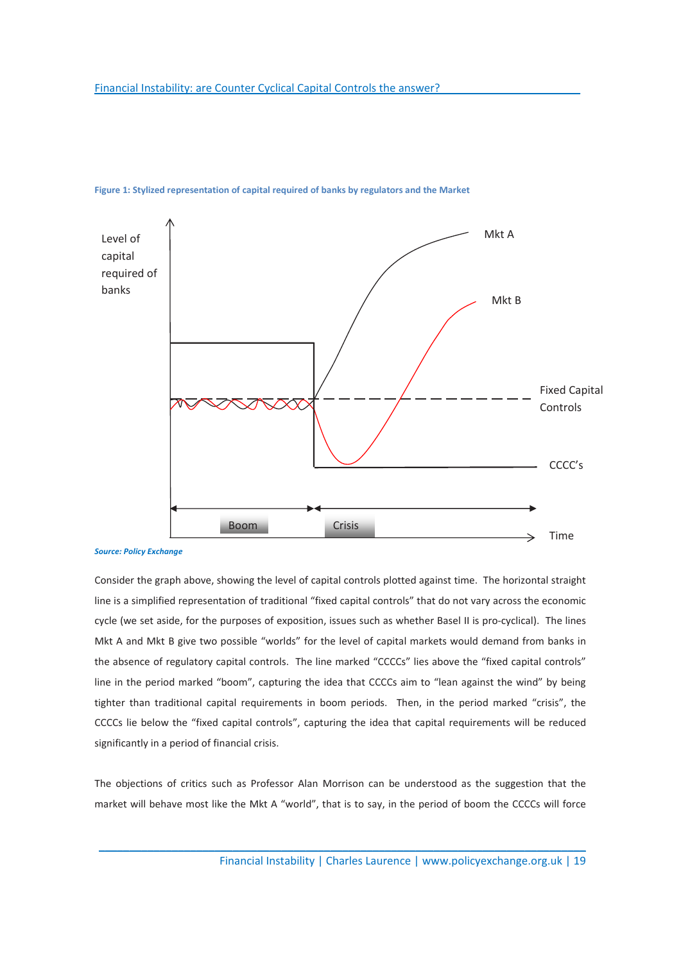

### Figure 1: Stylized representation of capital required of banks by regulators and the Market

Source: Policy Exchange

Consider the graph above, showing the level of capital controls plotted against time. The horizontal straight line is a simplified representation of traditional "fixed capital controls" that do not vary across the economic cycle (we set aside, for the purposes of exposition, issues such as whether Basel II is pro-cyclical). The lines Mkt A and Mkt B give two possible "worlds" for the level of capital markets would demand from banks in the absence of regulatory capital controls. The line marked "CCCCs" lies above the "fixed capital controls" line in the period marked "boom", capturing the idea that CCCCs aim to "lean against the wind" by being tighter than traditional capital requirements in boom periods. Then, in the period marked "crisis", the CCCCs lie below the "fixed capital controls", capturing the idea that capital requirements will be reduced significantly in a period of financial crisis.

The objections of critics such as Professor Alan Morrison can be understood as the suggestion that the market will behave most like the Mkt A "world", that is to say, in the period of boom the CCCCs will force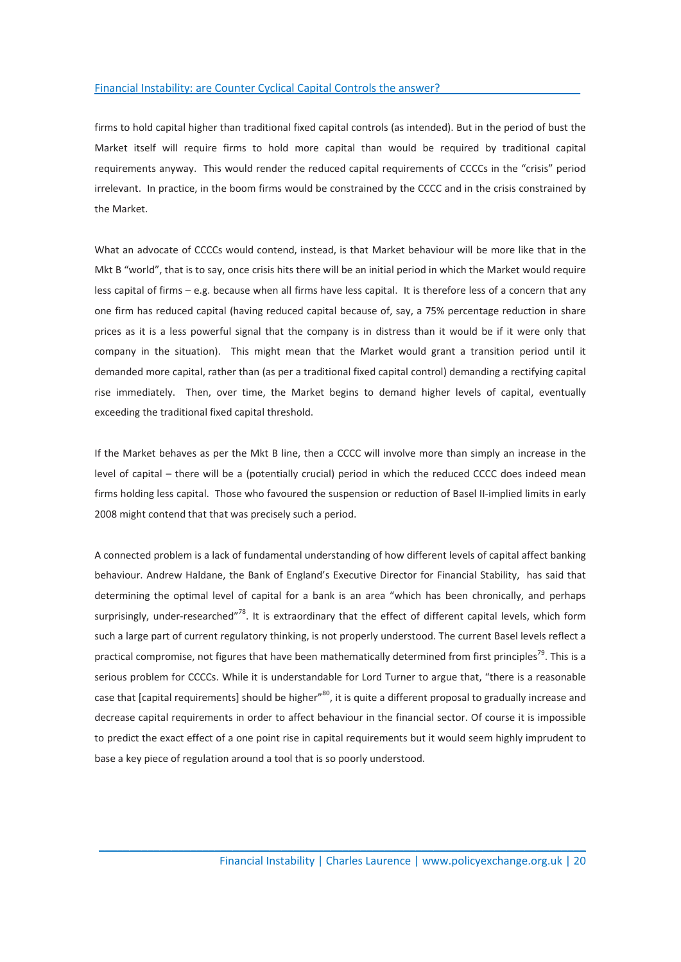firms to hold capital higher than traditional fixed capital controls (as intended). But in the period of bust the Market itself will require firms to hold more capital than would be required by traditional capital requirements anyway. This would render the reduced capital requirements of CCCCs in the "crisis" period irrelevant. In practice, in the boom firms would be constrained by the CCCC and in the crisis constrained by the Market.

What an advocate of CCCCs would contend, instead, is that Market behaviour will be more like that in the Mkt B "world", that is to say, once crisis hits there will be an initial period in which the Market would require less capital of firms – e.g. because when all firms have less capital. It is therefore less of a concern that any one firm has reduced capital (having reduced capital because of, say, a 75% percentage reduction in share prices as it is a less powerful signal that the company is in distress than it would be if it were only that company in the situation). This might mean that the Market would grant a transition period until it demanded more capital, rather than (as per a traditional fixed capital control) demanding a rectifying capital rise immediately. Then, over time, the Market begins to demand higher levels of capital, eventually exceeding the traditional fixed capital threshold.

If the Market behaves as per the Mkt B line, then a CCCC will involve more than simply an increase in the level of capital – there will be a (potentially crucial) period in which the reduced CCCC does indeed mean firms holding less capital. Those who favoured the suspension or reduction of Basel II-implied limits in early 2008 might contend that that was precisely such a period.

A connected problem is a lack of fundamental understanding of how different levels of capital affect banking behaviour. Andrew Haldane, the Bank of England's Executive Director for Financial Stability, has said that determining the optimal level of capital for a bank is an area "which has been chronically, and perhaps surprisingly, under-researched"<sup>78</sup>. It is extraordinary that the effect of different capital levels, which form such a large part of current regulatory thinking, is not properly understood. The current Basel levels reflect a practical compromise, not figures that have been mathematically determined from first principles<sup>79</sup>. This is a serious problem for CCCCs. While it is understandable for Lord Turner to argue that, "there is a reasonable case that [capital requirements] should be higher"<sup>80</sup>, it is quite a different proposal to gradually increase and decrease capital requirements in order to affect behaviour in the financial sector. Of course it is impossible to predict the exact effect of a one point rise in capital requirements but it would seem highly imprudent to base a key piece of regulation around a tool that is so poorly understood.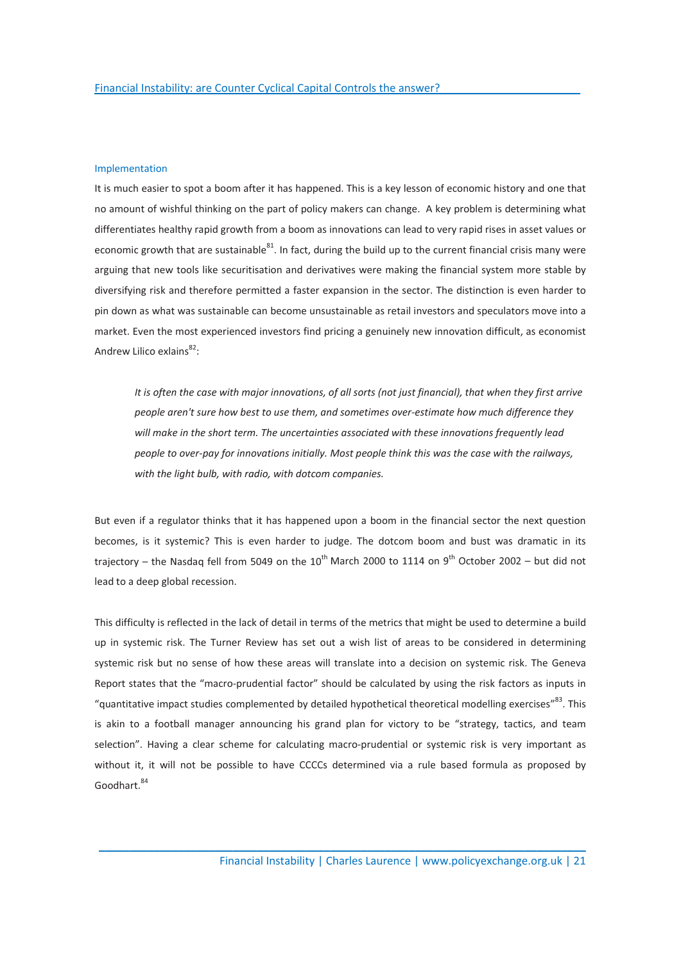#### Implementation

It is much easier to spot a boom after it has happened. This is a key lesson of economic history and one that no amount of wishful thinking on the part of policy makers can change. A key problem is determining what differentiates healthy rapid growth from a boom as innovations can lead to very rapid rises in asset values or economic growth that are sustainable $^{81}$ . In fact, during the build up to the current financial crisis many were arguing that new tools like securitisation and derivatives were making the financial system more stable by diversifying risk and therefore permitted a faster expansion in the sector. The distinction is even harder to pin down as what was sustainable can become unsustainable as retail investors and speculators move into a market. Even the most experienced investors find pricing a genuinely new innovation difficult, as economist Andrew Lilico exlains $^{82}$ :

It is often the case with major innovations, of all sorts (not just financial), that when they first arrive people aren't sure how best to use them, and sometimes over-estimate how much difference they will make in the short term. The uncertainties associated with these innovations frequently lead people to over-pay for innovations initially. Most people think this was the case with the railways, with the light bulb, with radio, with dotcom companies.

But even if a regulator thinks that it has happened upon a boom in the financial sector the next question becomes, is it systemic? This is even harder to judge. The dotcom boom and bust was dramatic in its trajectory – the Nasdag fell from 5049 on the  $10^{th}$  March 2000 to 1114 on 9<sup>th</sup> October 2002 – but did not lead to a deep global recession.

This difficulty is reflected in the lack of detail in terms of the metrics that might be used to determine a build up in systemic risk. The Turner Review has set out a wish list of areas to be considered in determining systemic risk but no sense of how these areas will translate into a decision on systemic risk. The Geneva Report states that the "macro-prudential factor" should be calculated by using the risk factors as inputs in "quantitative impact studies complemented by detailed hypothetical theoretical modelling exercises"<sup>83</sup>. This is akin to a football manager announcing his grand plan for victory to be "strategy, tactics, and team selection". Having a clear scheme for calculating macro-prudential or systemic risk is very important as without it, it will not be possible to have CCCCs determined via a rule based formula as proposed by Goodhart. 84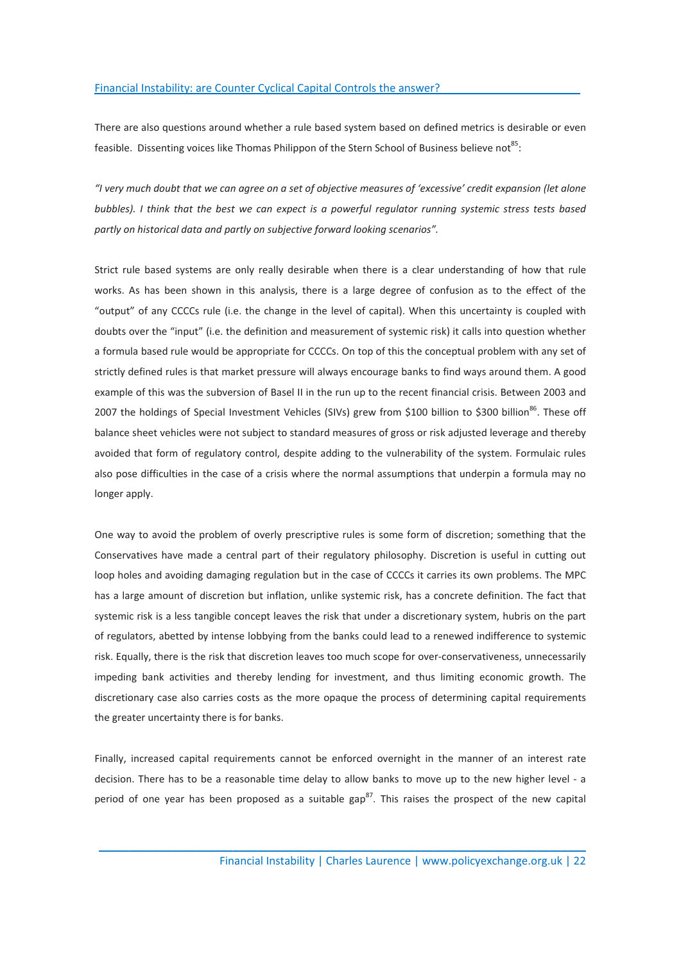There are also questions around whether a rule based system based on defined metrics is desirable or even feasible. Dissenting voices like Thomas Philippon of the Stern School of Business believe not<sup>85</sup>:

"I very much doubt that we can agree on a set of objective measures of 'excessive' credit expansion (let alone bubbles). I think that the best we can expect is a powerful regulator running systemic stress tests based partly on historical data and partly on subjective forward looking scenarios".

Strict rule based systems are only really desirable when there is a clear understanding of how that rule works. As has been shown in this analysis, there is a large degree of confusion as to the effect of the "output" of any CCCCs rule (i.e. the change in the level of capital). When this uncertainty is coupled with doubts over the "input" (i.e. the definition and measurement of systemic risk) it calls into question whether a formula based rule would be appropriate for CCCCs. On top of this the conceptual problem with any set of strictly defined rules is that market pressure will always encourage banks to find ways around them. A good example of this was the subversion of Basel II in the run up to the recent financial crisis. Between 2003 and 2007 the holdings of Special Investment Vehicles (SIVs) grew from \$100 billion to \$300 billion<sup>86</sup>. These off balance sheet vehicles were not subject to standard measures of gross or risk adjusted leverage and thereby avoided that form of regulatory control, despite adding to the vulnerability of the system. Formulaic rules also pose difficulties in the case of a crisis where the normal assumptions that underpin a formula may no longer apply.

One way to avoid the problem of overly prescriptive rules is some form of discretion; something that the Conservatives have made a central part of their regulatory philosophy. Discretion is useful in cutting out loop holes and avoiding damaging regulation but in the case of CCCCs it carries its own problems. The MPC has a large amount of discretion but inflation, unlike systemic risk, has a concrete definition. The fact that systemic risk is a less tangible concept leaves the risk that under a discretionary system, hubris on the part of regulators, abetted by intense lobbying from the banks could lead to a renewed indifference to systemic risk. Equally, there is the risk that discretion leaves too much scope for over-conservativeness, unnecessarily impeding bank activities and thereby lending for investment, and thus limiting economic growth. The discretionary case also carries costs as the more opaque the process of determining capital requirements the greater uncertainty there is for banks.

Finally, increased capital requirements cannot be enforced overnight in the manner of an interest rate decision. There has to be a reasonable time delay to allow banks to move up to the new higher level - a period of one year has been proposed as a suitable gap<sup>87</sup>. This raises the prospect of the new capital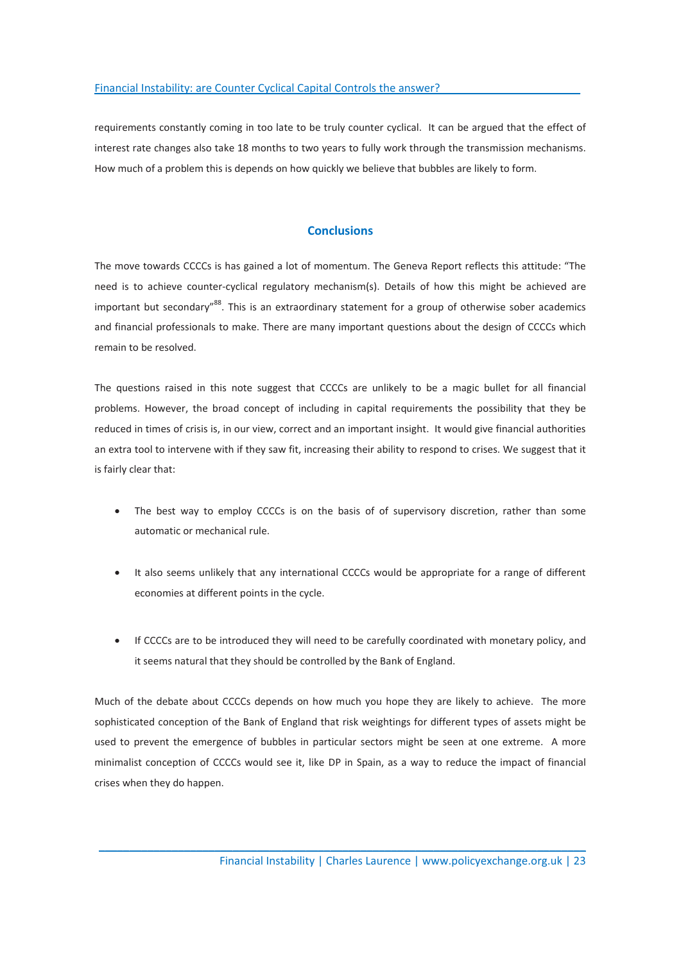requirements constantly coming in too late to be truly counter cyclical. It can be argued that the effect of interest rate changes also take 18 months to two years to fully work through the transmission mechanisms. How much of a problem this is depends on how quickly we believe that bubbles are likely to form.

## **Conclusions**

The move towards CCCCs is has gained a lot of momentum. The Geneva Report reflects this attitude: "The need is to achieve counter-cyclical regulatory mechanism(s). Details of how this might be achieved are important but secondary"<sup>88</sup>. This is an extraordinary statement for a group of otherwise sober academics and financial professionals to make. There are many important questions about the design of CCCCs which remain to be resolved.

The questions raised in this note suggest that CCCCs are unlikely to be a magic bullet for all financial problems. However, the broad concept of including in capital requirements the possibility that they be reduced in times of crisis is, in our view, correct and an important insight. It would give financial authorities an extra tool to intervene with if they saw fit, increasing their ability to respond to crises. We suggest that it is fairly clear that:

- The best way to employ CCCCs is on the basis of of supervisory discretion, rather than some automatic or mechanical rule.
- It also seems unlikely that any international CCCCs would be appropriate for a range of different economies at different points in the cycle.
- If CCCCs are to be introduced they will need to be carefully coordinated with monetary policy, and it seems natural that they should be controlled by the Bank of England.

Much of the debate about CCCCs depends on how much you hope they are likely to achieve. The more sophisticated conception of the Bank of England that risk weightings for different types of assets might be used to prevent the emergence of bubbles in particular sectors might be seen at one extreme. A more minimalist conception of CCCCs would see it, like DP in Spain, as a way to reduce the impact of financial crises when they do happen.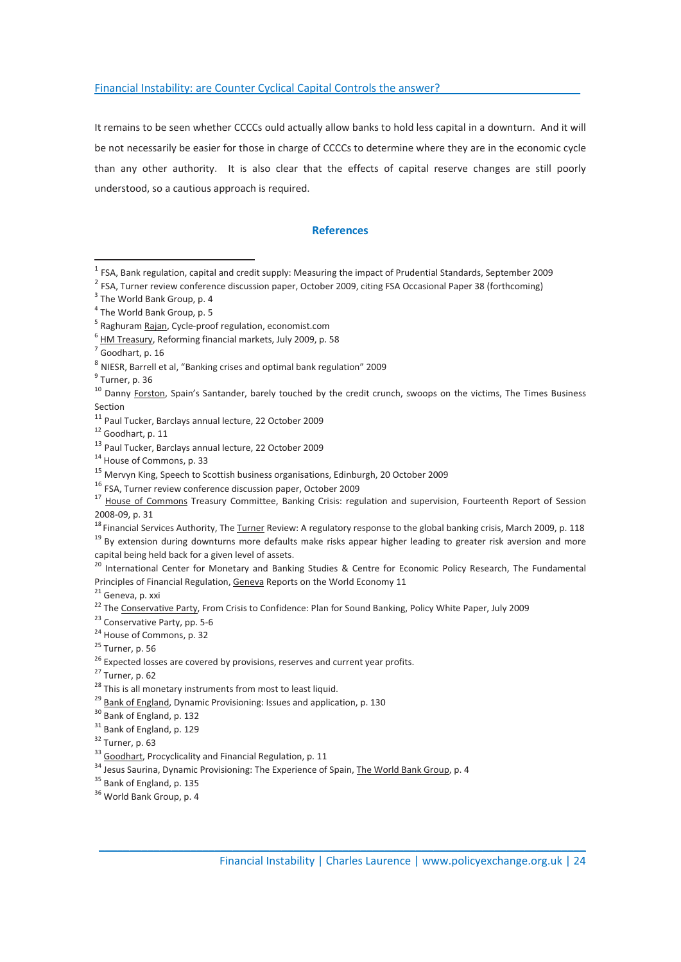It remains to be seen whether CCCCs ould actually allow banks to hold less capital in a downturn. And it will be not necessarily be easier for those in charge of CCCCs to determine where they are in the economic cycle than any other authority. It is also clear that the effects of capital reserve changes are still poorly understood, so a cautious approach is required.

### References

 $\overline{a}$ 

 $\mathcal{L}_\mathcal{L} = \mathcal{L}_\mathcal{L} = \mathcal{L}_\mathcal{L} = \mathcal{L}_\mathcal{L} = \mathcal{L}_\mathcal{L} = \mathcal{L}_\mathcal{L} = \mathcal{L}_\mathcal{L} = \mathcal{L}_\mathcal{L} = \mathcal{L}_\mathcal{L} = \mathcal{L}_\mathcal{L} = \mathcal{L}_\mathcal{L} = \mathcal{L}_\mathcal{L} = \mathcal{L}_\mathcal{L} = \mathcal{L}_\mathcal{L} = \mathcal{L}_\mathcal{L} = \mathcal{L}_\mathcal{L} = \mathcal{L}_\mathcal{L}$ 

 $^{29}$  Bank of England, Dynamic Provisioning: Issues and application, p. 130<br> $^{30}$  Bank of England, p. 132

 $1$  FSA, Bank regulation, capital and credit supply: Measuring the impact of Prudential Standards, September 2009

<sup>&</sup>lt;sup>2</sup> FSA. Turner review conference discussion paper, October 2009, citing FSA Occasional Paper 38 (forthcoming)

<sup>&</sup>lt;sup>3</sup> The World Bank Group, p. 4

<sup>&</sup>lt;sup>4</sup> The World Bank Group, p. 5

<sup>&</sup>lt;sup>5</sup> Raghuram <u>Rajan</u>, Cycle-proof regulation, economist.com<br>6

 $<sup>6</sup>$  HM Treasury, Reforming financial markets, July 2009, p. 58</sup>

 $<sup>7</sup>$  Goodhart, p. 16</sup>

<sup>8</sup> NIESR, Barrell et al, "Banking crises and optimal bank regulation" 2009

<sup>&</sup>lt;sup>9</sup> Turner, p. 36

<sup>&</sup>lt;sup>10</sup> Danny Forston, Spain's Santander, barely touched by the credit crunch, swoops on the victims, The Times Business Section

<sup>&</sup>lt;sup>11</sup> Paul Tucker, Barclays annual lecture, 22 October 2009<br><sup>12</sup> Goodhart, p. 11

 $13$  Paul Tucker, Barclays annual lecture, 22 October 2009<br> $14$  House of Commons, p. 33

<sup>&</sup>lt;sup>15</sup> Mervyn King, Speech to Scottish business organisations, Edinburgh, 20 October 2009<br><sup>16</sup> FSA. Turner review conference discussion paper, October 2009

<sup>&</sup>lt;sup>17</sup> House of Commons Treasury Committee, Banking Crisis: regulation and supervision, Fourteenth Report of Session 2008-09, p. 31

<sup>&</sup>lt;sup>18</sup> Financial Services Authority, The Turner Review: A regulatory response to the global banking crisis, March 2009, p. 118<br><sup>19</sup> By extension during downturns more defaults make risks appear higher leading to greater ris capital being held back for a given level of assets.

<sup>&</sup>lt;sup>20</sup> International Center for Monetary and Banking Studies & Centre for Economic Policy Research, The Fundamental Principles of Financial Regulation, Geneva Reports on the World Economy 11<sup>21</sup> Geneva, p. xxi

<sup>&</sup>lt;sup>22</sup> The Conservative Party, From Crisis to Confidence: Plan for Sound Banking, Policy White Paper, July 2009 <sup>23</sup> Conservative Party, pp. 5-6

<sup>&</sup>lt;sup>24</sup> House of Commons, p. 32

 $25$  Turner, p. 56

 $26$  Expected losses are covered by provisions, reserves and current year profits.

<sup>27</sup> Turner, p. 62

 $28$  This is all monetary instruments from most to least liquid.

<sup>&</sup>lt;sup>31</sup> Bank of England, p. 129

 $32$  Turner, p. 63<br> $33$  Goodhart, Procyclicality and Financial Regulation, p. 11

 $\frac{34}{34}$  Jesus Saurina, Dynamic Provisioning: The Experience of Spain, The World Bank Group, p. 4  $\frac{35}{35}$  Bank of England, p. 135

<sup>&</sup>lt;sup>36</sup> World Bank Group, p. 4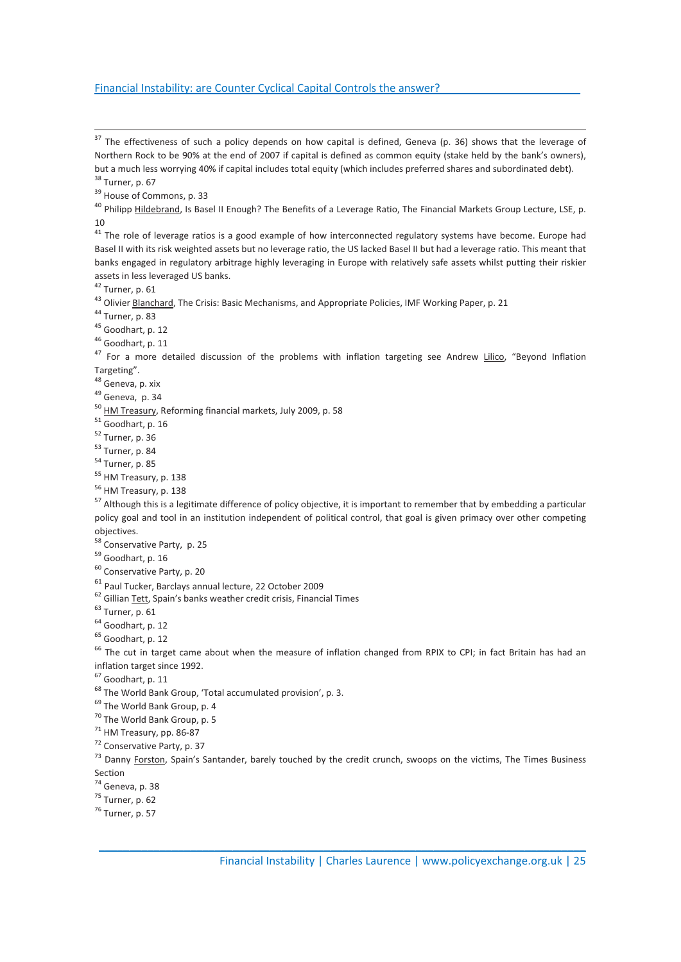$37$  The effectiveness of such a policy depends on how capital is defined, Geneva (p. 36) shows that the leverage of Northern Rock to be 90% at the end of 2007 if capital is defined as common equity (stake held by the bank's owners), but a much less worrying 40% if capital includes total equity (which includes preferred shares and subordinated debt). <sup>38</sup> Turner, p. 67

<sup>39</sup> House of Commons, p. 33

<sup>40</sup> Philipp Hildebrand, Is Basel II Enough? The Benefits of a Leverage Ratio, The Financial Markets Group Lecture, LSE, p. 10

 $41$  The role of leverage ratios is a good example of how interconnected regulatory systems have become. Europe had Basel II with its risk weighted assets but no leverage ratio, the US lacked Basel II but had a leverage ratio. This meant that banks engaged in regulatory arbitrage highly leveraging in Europe with relatively safe assets whilst putting their riskier assets in less leveraged US banks.

<sup>42</sup> Turner, p. 61

<sup>43</sup> Olivier **Blanchard**, The Crisis: Basic Mechanisms, and Appropriate Policies, IMF Working Paper, p. 21<br><sup>44</sup> Turner, p. 83

<sup>45</sup> Goodhart, p. 12

<sup>46</sup> Goodhart, p. 11

<sup>47</sup> For a more detailed discussion of the problems with inflation targeting see Andrew Lilico, "Beyond Inflation Targeting".

<sup>48</sup> Geneva, p. xix

<sup>49</sup> Geneva, p. 34

 $50$  HM Treasury, Reforming financial markets, July 2009, p. 58  $51$  Goodhart, p. 16

<sup>52</sup> Turner, p. 36

<sup>53</sup> Turner, p. 84

<sup>54</sup> Turner, p. 85

<sup>55</sup> HM Treasury, p. 138

<sup>56</sup> HM Treasury, p. 138

<sup>57</sup> Although this is a legitimate difference of policy objective, it is important to remember that by embedding a particular policy goal and tool in an institution independent of political control, that goal is given primacy over other competing objectives.

<sup>58</sup> Conservative Party, p. 25

<sup>59</sup> Goodhart, p. 16

<sup>60</sup> Conservative Party, p. 20

<sup>61</sup> Paul Tucker, Barclays annual lecture, 22 October 2009<br><sup>62</sup> Gillian <u>Tett</u>, Spain's banks weather credit crisis, Financial Times<br><sup>63</sup> Turner. p. 61

<sup>64</sup> Goodhart, p. 12

<sup>65</sup> Goodhart, p. 12

<sup>66</sup> The cut in target came about when the measure of inflation changed from RPIX to CPI; in fact Britain has had an inflation target since 1992.

<sup>67</sup> Goodhart, p. 11

<sup>68</sup> The World Bank Group, 'Total accumulated provision', p. 3.

<sup>69</sup> The World Bank Group, p. 4

<sup>70</sup> The World Bank Group, p. 5

 $71$  HM Treasury, pp. 86-87

<sup>72</sup> Conservative Party, p. 37

 $73$  Danny Forston, Spain's Santander, barely touched by the credit crunch, swoops on the victims, The Times Business Section

 $\mathcal{L}_\mathcal{L} = \mathcal{L}_\mathcal{L} = \mathcal{L}_\mathcal{L} = \mathcal{L}_\mathcal{L} = \mathcal{L}_\mathcal{L} = \mathcal{L}_\mathcal{L} = \mathcal{L}_\mathcal{L} = \mathcal{L}_\mathcal{L} = \mathcal{L}_\mathcal{L} = \mathcal{L}_\mathcal{L} = \mathcal{L}_\mathcal{L} = \mathcal{L}_\mathcal{L} = \mathcal{L}_\mathcal{L} = \mathcal{L}_\mathcal{L} = \mathcal{L}_\mathcal{L} = \mathcal{L}_\mathcal{L} = \mathcal{L}_\mathcal{L}$ 

<sup>74</sup> Geneva, p. 38

<sup>75</sup> Turner, p. 62

<sup>76</sup> Turner, p. 57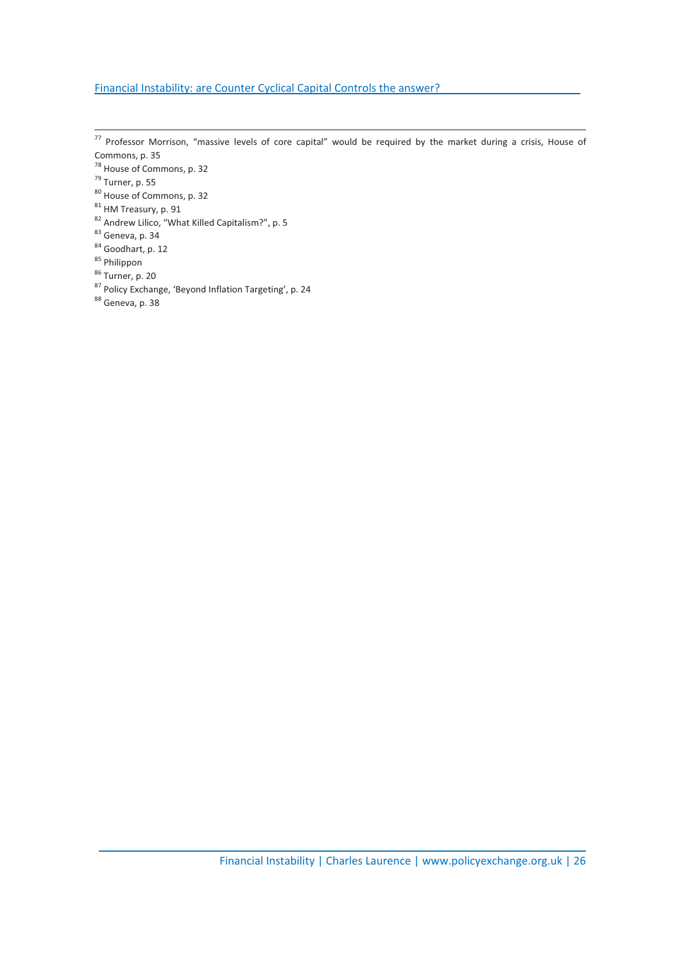- $77$  Professor Morrison, "massive levels of core capital" would be required by the market during a crisis, House of Commons, p. 35
- <sup>78</sup> House of Commons, p. 32
- $<sup>79</sup>$  Turner, p. 55</sup>
- <sup>80</sup> House of Commons, p. 32
- <sup>81</sup> HM Treasury, p. 91
- 82 Andrew Lilico, "What Killed Capitalism?", p. 5
- 83 Geneva, p. 34
- <sup>84</sup> Goodhart, p. 12
- <sup>85</sup> Philippon
- <sup>86</sup> Turner, p. 20
- 87 Policy Exchange, 'Beyond Inflation Targeting', p. 24
- <sup>88</sup> Geneva, p. 38